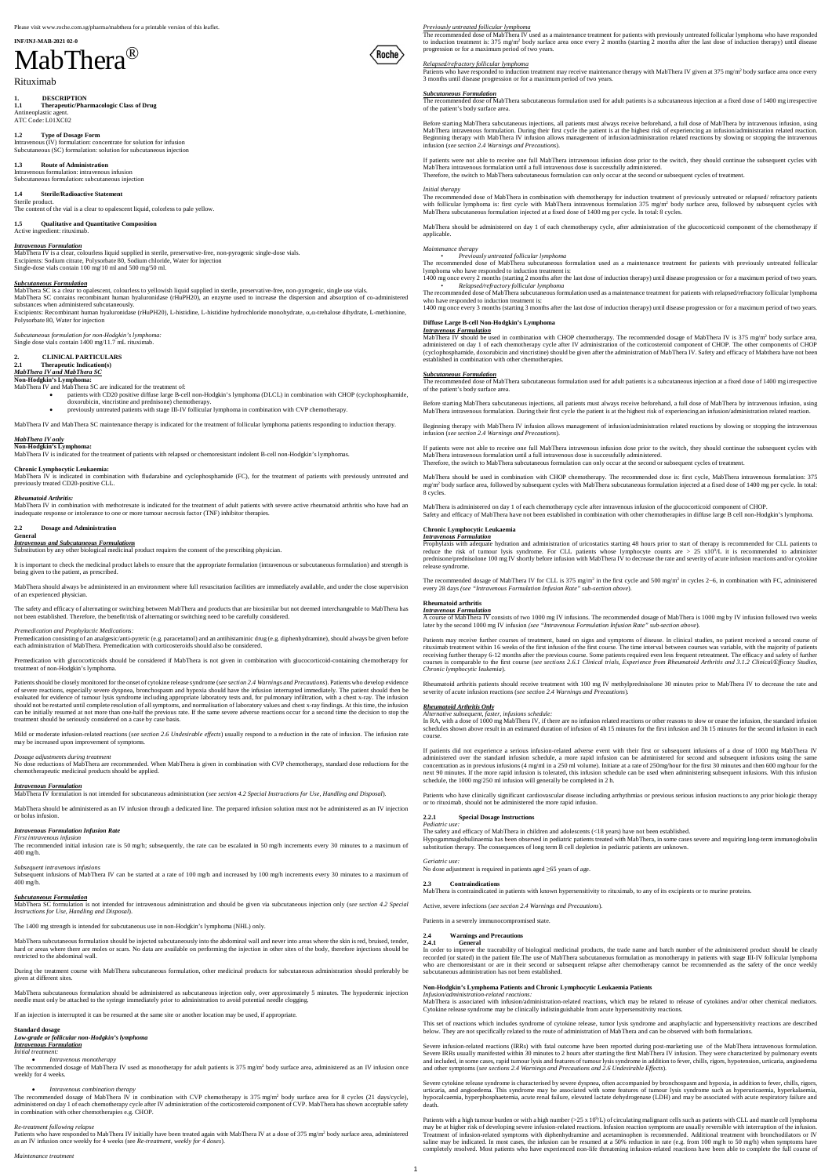### **INF/INJ-MAB-2021 02-0**

# MabThera®

1. **DESCRIPTION**<br>1.1 **Therapeutic/Pha 1.1 Therapeutic/Pharmacologic Class of Drug** Antineoplastic agent. ATC Code: L01XC02

Rituximab

**1.4 Sterile/Radioactive Statement** Sterile produc The content of the vial is a clear to opalescent liquid, colorless to pale yellow.

**1.2 Type of Dosage Form** Intravenous (IV) formulation: concentrate for solution for infusion Subcutaneous (SC) formulation: solution for subcutaneous injection

**1.3 Route of Administration** Intravenous formulation: intravenous infusion Subcutaneous formulation: subcutaneous injection

**1.5 Qualitative and Quantitative Composition**

### Active ingredient: rituximab. *Intravenous Formulation*

Excipients: Recombinant human hyaluronidase (rHuPH20), L-histidine, L-histidine hydrochloride monohydrate, a,a-trehalose dihydrate, L-methionine, Polysorbate 80, Water for injection

### 2. **CLINICAL PARTICULARS**<br>2.1 **Therapeutic Indication(s) 2.1 Therapeutic Indication(s)**

MabThera IV is a clear, colourless liquid supplied in sterile, preservative-free, non-pyrogenic single-dose vials. Excipients: Sodium citrate, Polysorbate 80, Sodium chloride, Water for injection Single-dose vials contain 100 mg/10 ml and 500 mg/50 ml.

### *Subcutaneous Formulation*

MabThera SC is a clear to opalescent, colourless to yellowish liquid supplied in sterile, preservative-free, non-pyrogenic, single use vials. MabThera SC contains recombinant human hyaluronidase (rHuPH20), an enzyme used to increase the dispersion and absorption of co-administered substances when administered subcutaneously*.*

*Subcutaneous formulation for non-Hodgkin's lymphoma:* Single dose vials contain 1400 mg/11.7 mL rituximab.

### *MabThera IV and MabThera SC*

**Non-Hodgkin's Lymphoma:** MabThera IV and MabThera SC are indicated for the treatment of:

· patients with CD20 positive diffuse large B-cell non-Hodgkin's lymphoma (DLCL) in combination with CHOP (cyclophosphamide,

doxorubicin, vincristine and prednisone) chemotherapy. · previously untreated patients with stage III-IV follicular lymphoma in combination with CVP chemotherapy.

MabThera IV and MabThera SC maintenance therapy is indicated for the treatment of follicular lymphoma patients responding to induction therapy.

### *MabThera IV only*

**Non-Hodgkin's Lymphoma:** MabThera IV is indicated for the treatment of patients with relapsed or chemoresistant indolent B-cell non-Hodgkin's lymphomas.

### **Chronic Lymphocytic Leukaemia:**

MabThera IV is indicated in combination with fludarabine and cyclophosphamide (FC), for the treatment of patients with previously untreated and previously treated CD20-positive CLL.

### *Rheumatoid Arthritis:*

MabThera IV in combination with methotrexate is indicated for the treatment of adult patients with severe active rheumatoid arthritis who have had an inadequate response or intolerance to one or more tumour necrosis factor (TNF) inhibitor therapies.

#### **2.2 Dosage and Administration General**

*Intravenous and Subcutaneous Formulations*

Substitution by any other biological medicinal product requires the consent of the prescribing physician.

The recommended initial infusion rate is 50 mg/h; subsequently, the rate can be escalated in 50 mg/h increments every 30 minutes to a maximum of 400 mg/h.

It is important to check the medicinal product labels to ensure that the appropriate formulation (intravenous or subcutaneous formulation) and strength is being given to the patient, as prescribed.

MabThera should always be administered in an environment where full resuscitation facilities are immediately available, and under the close supervision of an experienced physician.

The safety and efficacy of alternating or switching between MabThera and products that are biosimilar but not deemed interchangeable to MabThera has<br>not been established. Therefore, the benefit/risk of alternating or switc

*Premedication and Prophylactic Medications:*

Premedication consisting of an analgesic/anti-pyretic (e.g. paracetamol) and an antihistaminic drug (e.g. diphenhydramine), should always be given before<br>each administration of MabThera. Premedication with corticosteroids

The recommended dosage of MabThera IV used as monotherapy for adult patients is 375 mg/m<sup>2</sup> body surface area, administered as an IV infusion once weekly for 4 weeks.

The recommended dosage of MabThera IV in combination with CVP chemotherapy is 375 mg/m<sup>2</sup> body surface area for 8 cycles (21 days/cycle), administered on day 1 of each chemotherapy cycle after IV administration of the corticosteroid component of CVP. MabThera has shown acceptable safety in combination with other chemotherapies e.g. CHOP.

Premedication with glucocorticoids should be considered if MabThera is not given in combination with glucocorticoid-containing chemotherapy for treatment of non-Hodgkin's lymphoma.

Patients who have responded to induction treatment may receive maintenance therapy with MabThera IV given at 375 mg/m<sup>2</sup> body surface area once every 3 months until disease progression or for a maximum period of two years.

Patients should be closely monitored for the onset of cytokine release syndrome (*see section 2.4 Warnings and Precautions*). Patients who develop evidence of severe reactions, especially severe dyspnea, bronchospasm and hypoxia should have the infusion interrupted immediately. The patient should then be evaluated for evidence of tumour lysis syndrome including appropriate laboratory tests and, for pulmonary infiltration, with a chest x-ray. The infusion should not be restarted until complete resolution of all symptoms, and normalisation of laboratory values and chest x-ray findings. At this time, the infusion can be initially resumed at not more than one-half the previous rate. If the same severe adverse reactions occur for a second time the decision to stop the treatment should be seriously considered on a case by case basis.

Mild or moderate infusion-related reactions (*see section 2.6 Undesirable effects*) usually respond to a reduction in the rate of infusion. The infusion rate may be increased upon improvement of symptoms.

The recommended dose of MabThera in combination with chemotherapy for induction treatment of previously untreated or relapsed/ refractory patients<br>with follicular lymphoma is: first cycle with MabThera intravenous formulat MabThera subcutaneous formulation injected at a fixed dose of 1400 mg per cycle. In total: 8 cycles.

### *Dosage adjustments during treatment*

No dose reductions of MabThera are recommended. When MabThera is given in combination with CVP chemotherapy, standard dose reductions for the chemotherapeutic medicinal products should be applied.

*Intravenous Formulation* MabThera IV formulation is not intended for subcutaneous administration (*see section 4.2 Special Instructions for Use, Handling and Disposal*).

MabThera should be administered as an IV infusion through a dedicated line. The prepared infusion solution must not be administered as an IV injection or bolus infusion.

### *Intravenous Formulation Infusion Rate First intravenous infusion*

MabThera IV should be used in combination with CHOP chemotherapy. The recommended dosage of MabThera IV is 375 mg/m<sup>2</sup> body surface area, administered on day 1 of each chemotherapy cycle after IV administration of the corticosteroid component of CHOP. The other components of CHOP<br>(cyclophosphamide, doxorubicin and vincristine) should be given after the admin established in combination with other chemotherapies.

### *Subsequent intravenous infusions*

Subsequent infusions of MabThera IV can be started at a rate of 100 mg/h and increased by 100 mg/h increments every 30 minutes to a maximum of 400 mg/h.

*Subcutaneous Formulation* MabThera SC formulation is not intended for intravenous administration and should be given via subcutaneous injection only (*see section 4.2 Special Instructions for Use, Handling and Disposal*).

The 1400 mg strength is intended for subcutaneous use in non-Hodgkin's lymphoma (NHL) only.

MabThera subcutaneous formulation should be injected subcutaneously into the abdominal wall and never into areas where the skin is red, bruised, tender, hard or areas where there are moles or scars. No data are available on performing the injection in other sites of the body, therefore injections should be restricted to the abdominal wall.

During the treatment course with MabThera subcutaneous formulation, other medicinal products for subcutaneous administration should preferably be given at different sites.

MabThera subcutaneous formulation should be administered as subcutaneous injection only, over approximately 5 minutes. The hypodermic injection needle must only be attached to the syringe immediately prior to administration to avoid potential needle clogging.

If an injection is interrupted it can be resumed at the same site or another location may be used, if appropriate

The recommended dosage of MabThera IV for CLL is 375 mg/m<sup>2</sup> in the first cycle and 500 mg/m<sup>2</sup> in cycles 2–6, in combination with FC, administered every 28 days *(see "Intravenous Formulation Infusion Rate" sub-section above*).

### **Standard dosage**

*Low-grade or follicular non-Hodgkin's lymphoma*

### *Intravenous Formulation*

*Initial treatment:*

· *Intravenous monotherapy*

### · *Intravenous combination therapy*

### *Re-treatment following relapse*

Patients who have responded to MabThera IV initially have been treated again with MabThera IV at a dose of 375 mg/m<sup>2</sup> body surface area, administered<br>as an IV infusion once weekly for 4 weeks (see Re-treatment, weekly for

### 2.5 Communicated in patients with known hypersensitivity to rituximab, to any of its excipients or to murine pr<br>MabThera is contraindicated in patients with known hypersensitivity to rituximab, to any of its excipients or

*Maintenance treatment*

### *Previously untreated follicular lymphoma*

The recommended dose of MabThera IV used as a maintenance treatment for patients with previously untreated follicular lymphoma who have responded to induction treatment is: 375 mg/m<sup>2</sup> body surface area once every 2 months (starting 2 months after the last dose of induction therapy) until disease progression or for a maximum period of two years.

### *Relapsed/refractory follicular lymphoma*

### *Subcutaneous Formulation*

The recommended dose of MabThera subcutaneous formulation used for adult patients is a subcutaneous injection at a fixed dose of 1400 mg irrespective of the patient's body surface area.

Before starting MabThera subcutaneous injections, all patients must always receive beforehand, a full dose of MabThera by intravenous infusion, using MabThera intravenous formulation. During their first cycle the patient is at the highest risk of experiencing an infusion/administration related reaction. Beginning therapy with MabThera IV infusion allows management of infusion/administration related reactions by slowing or stopping the intravenous infusion (*see section 2.4 Warnings and Precautions*).

Severe cytokine release syndrome is characterised by severe dyspnea, often accompanied by bronchospasm and hypoxia, in addition to fever, chills, rigors, urticaria, and angioedema. This syndrome may be associated with some features of tumour lysis syndrome such as hyperuricaemia, hyperkalaem hypocalcaemia, hyperphosphaetemia, acute renal failure, elevated lactate dehydrogenase (LDH) and may be associated with acute respiratory failure and death

If patients were not able to receive one full MabThera intravenous infusion dose prior to the switch, they should continue the subsequent cycles with MabThera intravenous formulation until a full intravenous dose is successfully administered.

Therefore, the switch to MabThera subcutaneous formulation can only occur at the second or subsequent cycles of treatment.

### *Initial therapy*

(Roche

Patients with a high tumour burden or with a high number  $(>25 \times 10^9/L)$  of circulating malignant cells such as patients with CLL and mantle cell lymphoma may be at higher risk of developing severe infusion-related reactions. Infusion reaction symptoms are usually reversible with interruption of the infusion. Treatment of infusion-related symptoms with diphenhydramine and acetaminophen is recommended. Additional treatment with bronchodilators or IV saline may be indicated. In most cases, the infusion can be resumed at a 50% reduction in rate (e.g. from 100 mg/h to 50 mg/h) when symptoms have completely resolved. Most patients who have experienced non-life threatening infusion-related reactions have been able to complete the full course of

MabThera should be administered on day 1 of each chemotherapy cycle, after administration of the glucocorticoid component of the chemotherapy if applicable.

### *Maintenance therapy*

• *Previously untreated follicular lymphoma*

The recommended dose of MabThera subcutaneous formulation used as a maintenance treatment for patients with previously untreated follicular lymphoma who have responded to induction treatment is:

1400 mg once every 2 months (starting 2 months after the last dose of induction therapy) until disease progression or for a maximum period of two years. • *Relapsed/refractory follicular lymphoma*

The recommended dose of MabThera subcutaneous formulation used as a maintenance treatment for patients with relapsed/refractory follicular lymphoma who have responded to induction treatment is:

1400 mg once every 3 months (starting 3 months after the last dose of induction therapy) until disease progression or for a maximum period of two years.

### **Diffuse Large B-cell Non-Hodgkin's Lymphoma** *Intravenous Formulation*

### *Subcutaneous Formulation*

The recommended dose of MabThera subcutaneous formulation used for adult patients is a subcutaneous injection at a fixed dose of 1400 mg irrespective of the patient's body surface area.

Before starting MabThera subcutaneous injections, all patients must always receive beforehand, a full dose of MabThera by intravenous infusion, using MabThera intravenous formulation. During their first cycle the patient is at the highest risk of experiencing an infusion/administration related reaction.

Beginning therapy with MabThera IV infusion allows management of infusion/administration related reactions by slowing or stopping the intravenous infusion (*see section 2.4 Warnings and Precautions*).

If patients were not able to receive one full MabThera intravenous infusion dose prior to the switch, they should continue the subsequent cycles with MabThera intravenous formulation until a full intravenous dose is successfully administered. Therefore, the switch to MabThera subcutaneous formulation can only occur at the second or subsequent cycles of treatment.

MabThera should be used in combination with CHOP chemotherapy. The recommended dose is: first cycle, MabThera intravenous formulation: 375 mg/m<sup>2</sup> body surface area, followed by subsequent cycles with MabThera subcutaneous formulation injected at a fixed dose of 1400 mg per cycle. In total: 8 cycles.

MabThera is administered on day 1 of each chemotherapy cycle after intravenous infusion of the glucocorticoid component of CHOP. Safety and efficacy of MabThera have not been established in combination with other chemotherapies in diffuse large B cell non-Hodgkin's lymphoma.

### **Chronic Lymphocytic Leukaemia**

### *Intravenous Formulation*

Prophylaxis with adequate hydration and administration of uricostatics starting 48 hours prior to start of therapy is recommended for CLL patients to reduce the risk of tumour lysis syndrome. For CLL patients whose lymphocyte counts are > 25 x10<sup>9</sup>/L it is recommended to administer prednisone/prednisolone 100 mg IV shortly before infusion with MabThera IV to decrease the rate and severity of acute infusion reactions and/or cytokine release syndrome.

### **Rheumatoid arthritis**

*Intravenous Formulation* A course of MabThera IV consists of two 1000 mg IV infusions. The recommended dosage of MabThera is 1000 mg by IV infusion followed two weeks later by the second 1000 mg IV infusion *(see "Intravenous Formulation Infusion Rate" sub-section above*).

Patients may receive further courses of treatment, based on signs and symptoms of disease. In clinical studies, no patient received a second course of rituximab treatment within 16 weeks of the first infusion of the first course. The time interval between courses was variable, with the majority of patients receiving further therapy 6-12 months after the previous course. Some patients required even less frequent retreatment. The efficacy and safety of further courses is comparable to the first course (*see sections 2.6.1 Clinical trials, Experience from Rheumatoid Arthritis and 3.1.2 Clinical/Efficacy Studies, Chronic lymphocytic leukemia*).

Rheumatoid arthritis patients should receive treatment with 100 mg IV methylprednisolone 30 minutes prior to MabThera IV to decrease the rate and severity of acute infusion reactions (*see section 2.4 Warnings and Precautions*).

### *Rheumatoid Arthritis Only*

### *Alternative subsequent, faster, infusions schedule:*

In RA, with a dose of 1000 mg MabThera IV, if there are no infusion related reactions or other reasons to slow or cease the infusion, the standard infusion schedules shown above result in an estimated duration of infusion of 4h 15 minutes for the first infusion and 3h 15 minutes for the second infusion in each course.

If patients did not experience a serious infusion-related adverse event with their first or subsequent infusions of a dose of 1000 mg MabThera IV administered over the standard infusion schedule, a more rapid infusion can be administered for second and subsequent infusions using the same concentration as in previous infusions (4 mg/ml in a 250 ml volume). Initiate at a rate of 250mg/hour for the first 30 minutes and then 600 mg/hour for the<br>next 90 minutes. If the more rapid infusion is tolerated, this inf schedule, the 1000 mg/250 ml infusion will generally be completed in 2 h.

Patients who have clinically significant cardiovascular disease including arrhythmias or previous serious infusion reactions to any prior biologic therapy or to rituximab, should not be administered the more rapid infusion.

### **2.2.1 Special Dosage Instructions** *Pediatric use:*

The safety and efficacy of MabThera in children and adolescents (<18 years) have not been established.

Hypogammaglobulinaemia has been observed in pediatric patients treated with MabThera, in some cases severe and requiring long-term immunoglobulin substitution therapy. The consequences of long term B cell depletion in pediatric patients are unknown.

### No dose adjustment is required in patients aged ≥65 years of age.

*Geriatric use:*

**2.3 Contraindications**

Active, severe infections (*see section 2.4 Warnings and Precautions*).

Patients in a severely immunocompromised state

## 2.4 **Warnings and Precaution**<br>2.4.1 **General**

### **2.4.1 General**

In order to improve the traceability of biological medicinal products, the trade name and batch number of the administered product should be clearly recorded (or stated) in the patient file.The use of MabThera subcutaneous formulation as monotherapy in patients with stage III-IV follicular lymphoma who are chemoresistant or are in their second or subsequent relapse after chemotherapy cannot be recommended as the safety of the once weekly subcutaneous administration has not been established.

### **Non-Hodgkin's Lymphoma Patients and Chronic Lymphocytic Leukaemia Patients**

*Infusion/administration-related reactions:* MabThera is associated with infusion/administration-related reactions, which may be related to release of cytokines and/or other chemical mediators. Cytokine release syndrome may be clinically indistinguishable from acute hypersensitivity reactions.

This set of reactions which includes syndrome of cytokine release, tumor lysis syndrome and anaphylactic and hypersensitivity reactions are described below. They are not specifically related to the route of administration of MabThera and can be observed with both formulations.

Severe infusion-related reactions (IRRs) with fatal outcome have been reported during post-marketing use of the MabThera intravenous formulation. Severe IRRs usually manifested within 30 minutes to 2 hours after starting the first MabThera IV infusion. They were characterized by pulmonary events and included, in some cases, rapid tumour lysis and features of tumour lysis syndrome in addition to fever, chills, rigors, hypotension, urticaria, angioedema and other symptoms (*see sections 2.4 Warnings and Precautions and 2.6 Undesirable Effects*).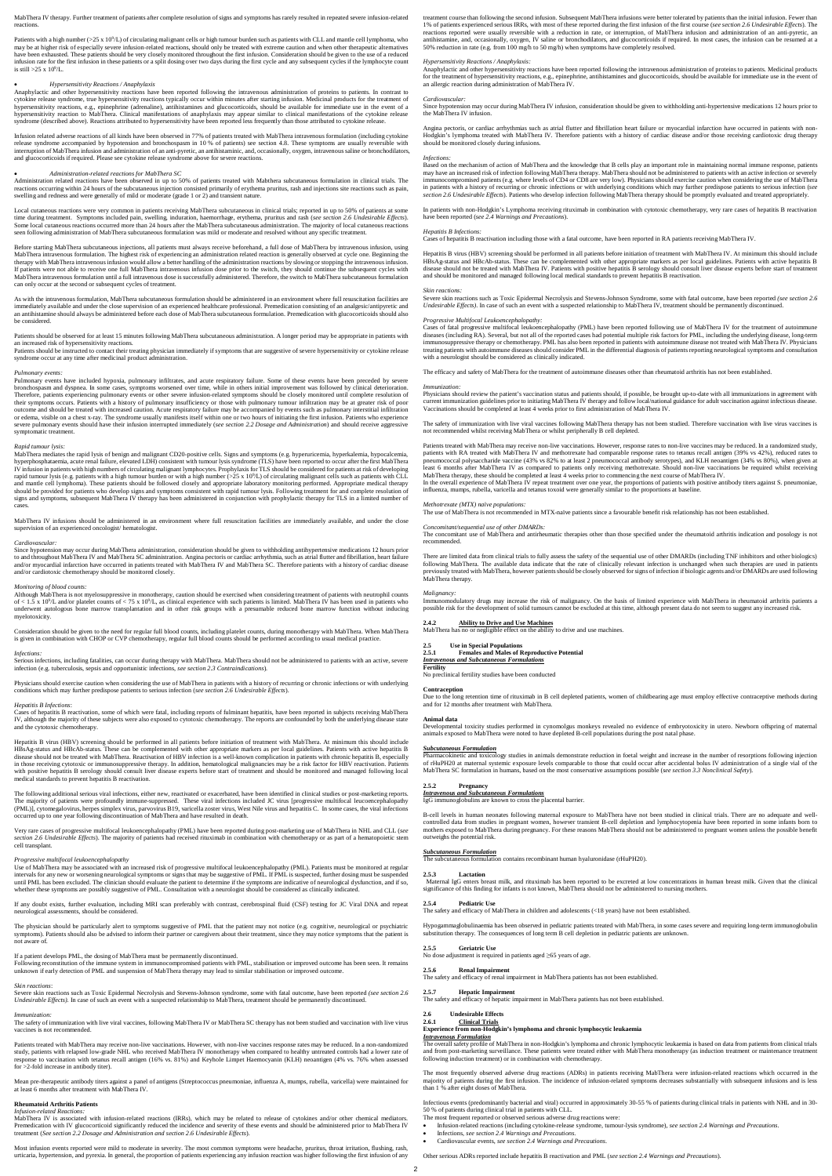MabThera IV therapy. Further treatment of patients after complete resolution of signs and symptoms has rarely resulted in repeated severe infusion-related reactions.

Patients with a high number (>25 x 10<sup>9</sup>/L) of circulating malignant cells or high tumour burden such as patients with CLL and mantle cell lymphoma, who may be at higher risk of especially severe infusion-related reactions, should only be treated with extreme caution and when other therapeutic alternatives have been exhausted. These patients should be very closely monitored throughout the first infusion. Consideration should be given to the use of a reduced infusion rate for the first infusion in these patients or a split dosing over two days during the first cycle and any subsequent cycles if the lymphocyte count is still >25 x  $10^9$ /L.

Anaphylactic and other hypersensitivity reactions have been reported following the intravenous administration of proteins to patients. In contrast to cytokine release syndrome, true hypersensitivity reactions typically occur within minutes after starting infusion. Medicinal products for the treatment of hypersensitivity reactions, e.g., epinephrine (adrenaline), antihistamines and glucocorticoids, should be available for immediate use in the event of a hypersensitivity reaction to MabThera. Clinical manifestations of anaphylaxis may appear similar to clinical manifestations of the cytokine release<br>syndrome (described above). Reactions attributed to hypersensitivity have

### · *Hypersensitivity Reactions / Anaphylaxis*

· *Administration-related reactions for MabThera SC* Administration related reactions have been observed in up to 50% of patients treated with Mabthera subcutaneous formulation in clinical trials. The reactions occurring within 24 hours of the subcutaneous injection consisted primarily of erythema pruritus, rash and injections site reactions such as pain, swelling and redness and were generally of mild or moderate (grade 1 or 2) and transient nature

Infusion related adverse reactions of all kinds have been observed in 77% of patients treated with MabThera intravenous formulation (including cytokine release syndrome accompanied by hypotension and bronchospasm in 10 % of patients) see section 4.8. These symptoms are usually reversible with<br>interruption of MabThera infusion and administration of an anti-pyretic, an anti and glucocorticoids if required. Please see cytokine release syndrome above for severe reactions.

Local cutaneous reactions were very common in patients receiving MabThera subcutaneous in clinical trials; reported in up to 50% of patients at some time during treatment. Symptoms included pain, swelling, induration, haemorrhage, erythema, pruritus and rash (*see section 2.6 Undesirable Effects*). Some local cutaneous reactions occurred more than 24 hours after the MabThera subcutaneous administration. The majority of local cutaneous reactions seen following administration of MabThera subcutaneous formulation was mild or moderate and resolved without any specific treatment.

Before starting MabThera subcutaneous injections, all patients must always receive beforehand, a full dose of MabThera by intravenous infusion, using MabThera intravenous formulation. The highest risk of experiencing an administration related reaction is generally observed at cycle one. Beginning the therapy with MabThera intravenous infusion would allow a better handling of the administration reactions by slowing or stopping the intravenous infusion.<br>If patients were not able to receive one full MabThera intravenous i MabThera intravenous formulation until a full intravenous dose is successfully administered. Therefore, the switch to MabThera subcutaneous formulation can only occur at the second or subsequent cycles of treatment.

As with the intravenous formulation, MabThera subcutaneous formulation should be administered in an environment where full resuscitation facilities are immediately available and under the close supervision of an experienced healthcare professional. Premedication consisting of an analgesic/antipyretic and an antihistamine should always be administered before each dose of MabThera subcutaneous formulation. Premedication with glucocorticoids should also be considered.

### Patients should be observed for at least 15 minutes following MabThera subcutaneous administration. A longer period may be appropriate in patients with an increased risk of hypersensitivity reactions.

Patients should be instructed to contact their treating physician immediately if symptoms that are suggestive of severe hypersensitivity or cytokine release syndrome occur at any time after medicinal product administration.

#### *Pulmonary events:*

Hepatitis B virus (HBV) screening should be performed in all patients before initiation of treatment with MabThera. At minimum this should include<br>HBsAg-status and HBcAb-status. These can be complemented with other appropr disease should not be treated with MabThera. Reactivation of HBV infection is a well-known complication in patients with chronic hepatitis B, especially in those receiving cytotoxic or immunosuppressive therapy. In addition, hematological malignancies may be a risk factor for HBV reactivation. Patients with positive hepatitis B serology should consult liver disease experts before start of treatment and should be monitored and managed following local medical standards to prevent hepatitis B reactivation.

Pulmonary events have included hypoxia, pulmonary infiltrates, and acute respiratory failure. Some of these events have been preceded by severe bronchospasm and dyspnea. In some cases, symptoms worsened over time, while in others initial improvement was followed by clinical deterioration.<br>Therefore, patients experiencing pulmonary events or other severe infusion-r their symptoms occurs. Patients with a history of pulmonary insufficiency or those with pulmonary tumour infiltration may be at greater risk of poor outcome and should be treated with increased caution. Acute respiratory failure may be accompanied by events such as pulmonary interstitial infiltration or edema, visible on a chest x-ray. The syndrome usually manifests itself within one or two hours of initiating the first infusion. Patients who experience<br>severe pulmonary events should have their infusion interrupted imm symptomatic treatment.

Very rare cases of progressive multifocal leukoencephalopathy (PML) have been reported during post-marketing use of MabThera in NHL and CLL (see<br>section 2.6 Undesirable Effects). The majority of patients had received ritux cell transplant.

Use of MabThera may be associated with an increased risk of progressive multifocal leukoencephalopathy (PML). Patients must be monitored at regular intervals for any new or worsening neurological symptoms or signs that may be suggestive of PML. If PML is suspected, further dosing must be suspended until PML has been excluded. The clinician should evaluate the patient to determine if the symptoms are indicative of neurological dysfunction, and if so, ive of PML. Consultation with a neurologist should be considered as clinically indicated

### *Rapid tumour lysis:*

MabThera mediates the rapid lysis of benign and malignant CD20-positive cells. Signs and symptoms (e.g. hyperuricemia, hyperkalemia, hypocalcemia, hyperphosphataemia, acute renal failure, elevated LDH) consistent with tumour lysis syndrome (TLS) have been reported to occur after the first MabThera IV infusion in patients with high numbers of circulating malignant lymphocytes. Prophylaxis for TLS should be considered for patients at risk of developing rapid tumour lysis (e.g. patients with a high tumour burden or with a high number  $(>25 \times 10^9 L)$  of circulating malignant cells such as patients with CLL and mantle cell lymphoma). These patients should be followed closely and appropriate laboratory monitoring performed. Appropriate medical therapy should be provided for patients who develop signs and symptoms consistent with rapid tumour lysis. Following treatment for and complete resolution of signs and symptoms, subsequent MabThera IV therapy has been administered in conjunction with prophylactic therapy for TLS in a limited number of cases.

Most infusion events reported were mild to moderate in severity. The most common symptoms were headache, pruritus, throat irritation, flushing, rash, urticaria, hypertension, and pyrexia. In general, the proportion of patients experiencing any infusion reaction was higher following the first infusion of any infusion reaction was higher following the first infusion of an

MabThera IV infusions should be administered in an environment where full resuscitation facilities are immediately available, and under the close supervision of an experienced oncologist/ hematologist.

### *Cardiovascular:*

Since hypotension may occur during MabThera administration, consideration should be given to withholding antihypertensive medications 12 hours prior to and throughout MabThera IV and MabThera SC administration. Angina pectoris or cardiac arrhythmia, such as atrial flutter and fibrillation, heart failure and/or myocardial infarction have occurred in patients treated with MabThera IV and MabThera SC. Therefore patients with a history of cardiac disease and/or cardiotoxic chemotherapy should be monitored closely.

### *Monitoring of blood counts:*

Although MabThera is not myelosuppressive in monotherapy, caution should be exercised when considering treatment of patients with neutrophil counts of < 1.5 x 10<sup>9</sup>/L and/or platelet counts of < 75 x 10<sup>9</sup>/L, as clinical experience with such patients is limited. MabThera IV has been used in patients who underwent autologous bone marrow transplantation and in other risk groups with a presumable reduced bone marrow function without inducing myelotoxicity.

Consideration should be given to the need for regular full blood counts, including platelet counts, during monotherapy with MabThera. When MabThera is given in combination with CHOP or CVP chemotherapy, regular full blood counts should be performed according to usual medical practice.

### *Infections:*

Serious infections, including fatalities, can occur during therapy with MabThera. MabThera should not be administered to patients with an active, severe infection (e.g. tuberculosis, sepsis and opportunistic infections, *see section 2.3 Contraindications*).

Physicians should exercise caution when considering the use of MabThera in patients with a history of recurring or chronic infections or with underlying<br>conditions which may further predispose patients to serious infection

Severe skin reactions such as Toxic Epidermal Necrolysis and Stevens-Johnson Syndrome, some with fatal outcome, have been reported *(see section 2.6 Undesirable Effects*). In case of such an event with a suspected relationship to MabThera IV, treatment should be permanently discontinued

### *Hepatitis B Infections*:

Cases of hepatitis B reactivation, some of which were fatal, including reports of fulminant hepatitis, have been reported in subjects receiving MabThera IV, although the majority of these subjects were also exposed to cytotoxic chemotherapy. The reports are confounded by both the underlying disease state and the cytotoxic chemotherapy.

Cases of fatal progressive multifocal leukoencephalopathy (PML) have been reported following use of MabThera IV for the treatment of autoimmune<br>diseases (including RA). Several, but not all of the reported cases had potent immunosuppressive therapy or chemotherapy. PML has also been reported in patients with autoimmune disease not treated with MabThera IV. Physicians<br>treating patients with autoimmune diseases should consider PML in the diffe with a neurologist should be considered as clinically indicated.

Patients treated with MabThera may receive non-live vaccinations. However, response rates to non-live vaccines may be reduced. In a randomized study,<br>patients with RA treated with MabThera IV and methotrexate had comparabl pneumococcal polysaccharide vaccine (43% vs 82% to at least 2 pneumococcal antibody serotypes), and KLH neoantigen (34% vs 80%), when given at<br>least 6 months after MabThera IV as compared to patients only receiving methotr MabThera therapy, these should be completed at least 4 weeks prior to commencing the next course of MabThera IV. In the overall experience of MabThera IV repeat treatment over one year, the proportions of patients with positive antibody titers against S. pneumonia. influenza, mumps, rubella, varicella and tetanus toxoid were generally similar to the proportions at baseline.

The following additional serious viral infections, either new, reactivated or exacerbated, have been identified in clinical studies or post-marketing reports. The majority of patients were profoundly immune-suppressed. These viral infections included JC virus [progressive multifocal leucoencephalopathy<br>(PML)], cytomegalovirus, herpes simplex virus, parvovirus B19, varicella zost occurred up to one year following discontinuation of MabThera and have resulted in death.

### *Progressive multifocal leukoencephalopathy*

If any doubt exists, further evaluation, including MRI scan preferably with contrast, cerebrospinal fluid (CSF) testing for JC Viral DNA and repeat neurological assessments, should be considered.

The physician should be particularly alert to symptoms suggestive of PML that the patient may not notice (e.g. cognitive, neurological or psychiatric symptoms). Patients should also be advised to inform their partner or caregivers about their treatment, since they may notice symptoms that the patient is not aware of.

### If a patient develops PML, the dosing of MabThera must be permanently discontinued.

Following reconstitution of the immune system in immunocompromised patients with PML, stabilisation or improved outcome has been seen. It remains unknown if early detection of PML and suspension of MabThera therapy may lead to similar stabilisation or improved outcome.

### *Skin reactions*:

Severe skin reactions such as Toxic Epidermal Necrolysis and Stevens-Johnson syndrome, some with fatal outcome, have been reported *(see section 2.6 Undesirable Effects).* In case of such an event with a suspected relationship to MabThera, treatment should be permanently discontinued.

#### *Immunization:*

The safety of immunization with live viral vaccines, following MabThera IV or MabThera SC therapy has not been studied and vaccination with live virus vaccines is not recommended.

Patients treated with MabThera may receive non-live vaccinations. However, with non-live vaccines response rates may be reduced. In a non-randomized study, patients with relapsed low-grade NHL who received MabThera IV monotherapy when compared to healthy untreated controls had a lower rate of response to vaccination with tetanus recall antigen (16% vs. 81%) and Keyhole Limpet Haemocyanin (KLH) neoantigen (4% vs. 76% when assessed for >2-fold increase in antibody titer).

Mean pre-therapeutic antibody titers against a panel of antigens (Streptococcus pneumoniae, influenza A, mumps, rubella, varicella) were maintained for at least 6 months after treatment with MabThera IV.

### **Rheumatoid Arthritis Patients**

### *Infusion-related Reactions:*

MabThera IV is associated with infusion-related reactions (IRRs), which may be related to release of cytokines and/or other chemical mediators. Premedication with IV glucocorticoid significantly reduced the incidence and severity of these events and should be administered prior to MabThera IV treatment (*See section 2.2 Dosage and Administration and section 2.6 Undesirable Effects*).

treatment course than following the second infusion. Subsequent MabThera infusions were better tolerated by patients than the initial infusion. Fewer than 1% of patients experienced serious IRRs, with most of these reported during the first infusion of the first course (*see section 2.6 Undesirable Effects*). The reactions reported were usually reversible with a reduction in rate, or interruption, of MabThera infusion and administration of an anti-pyretic, an antihistamine, and, occasionally, oxygen, IV saline or bronchodilators, and glucocorticoids if required. In most cases, the infusion can be resumed at a 50% reduction in rate (e.g. from 100 mg/h to 50 mg/h) when symptoms have completely resolved.

### *Hypersensitivity Reactions / Anaphylaxis:*

Anaphylactic and other hypersensitivity reactions have been reported following the intravenous administration of proteins to patients. Medicinal products for the treatment of hypersensitivity reactions, e.g., epinephrine, antihistamines and glucocorticoids, should be available for immediate use in the event of an allergic reaction during administration of MabThera IV.

### *Cardiovascular:*

Since hypotension may occur during MabThera IV infusion, consideration should be given to withholding anti-hypertensive medications 12 hours prior to the MabThera IV infusion.

Angina pectoris, or cardiac arrhythmias such as atrial flutter and fibrillation heart failure or myocardial infarction have occurred in patients with non-Hodgkin's lymphoma treated with MabThera IV. Therefore patients with a history of cardiac disease and/or those receiving cardiotoxic drug therapy should be monitored closely during infusions.

#### *Infections:*

Based on the mechanism of action of MabThera and the knowledge that B cells play an important role in maintaining normal immune response, patients may have an increased risk of infection following MabThera therapy. MabThera should not be administered to patients with an active infection or severely immunocompromised patients (e.g. where levels of CD4 or CD8 are very low). Physicians should exercise caution when considering the use of MabThera in patients with a history of recurring or chronic infections or with underlying conditions which may further predispose patients to serious infection (*see section 2.6 Undesirable Effects*). Patients who develop infection following MabThera therapy should be promptly evaluated and treated appropriately.

In patients with non-Hodgkin's Lymphoma receiving rituximab in combination with cytotoxic chemotherapy, very rare cases of hepatitis B reactivation have been reported (*see 2.4 Warnings and Precautions*).

### *Hepatitis B Infections:*

Cases of hepatitis B reactivation including those with a fatal outcome, have been reported in RA patients receiving MabThera IV.

Hepatitis B virus (HBV) screening should be performed in all patients before initiation of treatment with MabThera IV. At minimum this should include HBsAg-status and HBcAb-status. These can be complemented with other appropriate markers as per local guidelines. Patients with active hepatitis B disease should not be treated with MabThera IV. Patients with positive hepatitis B serology should consult liver disease experts before start of treatment and should be monitored and managed following local medical standards to prevent hepatitis B reactivation.

#### *Skin reactions:*

### *Progressive Multifocal Leukoencephalopathy:*

The efficacy and safety of MabThera for the treatment of autoimmune diseases other than rheumatoid arthritis has not been established.

#### *Immunization:*

Physicians should review the patient's vaccination status and patients should, if possible, be brought up-to-date with all immunizations in agreement with current immunization guidelines prior to initiating MabThera IV therapy and follow local/national guidance for adult vaccination against infectious disease. Vaccinations should be completed at least 4 weeks prior to first administration of MabThera IV.

The safety of immunization with live viral vaccines following MabThera therapy has not been studied. Therefore vaccination with live virus vaccines is not recommended whilst receiving MabThera or whilst peripherally B cell depleted.

### *Methotrexate (MTX) naïve populations:*

The use of MabThera is not recommended in MTX-naïve patients since a favourable benefit risk relationship has not been established.

### *Concomitant/sequential use of other DMARDs:*

The concomitant use of MabThera and antirheumatic therapies other than those specified under the rheumatoid arthritis indication and posology is not recommended.

There are limited data from clinical trials to fully assess the safety of the sequential use of other DMARDs (including TNF inhibitors and other biologics) following MabThera. The available data indicate that the rate of clinically relevant infection is unchanged when such therapies are used in patients previously treated with MabThera, however patients should be closely observed for signs of infection if biologic agents and/or DMARDs are used following MabThera therapy.

### *Malignancy:*

Immunomodulatory drugs may increase the risk of malignancy. On the basis of limited experience with MabThera in rheumatoid arthritis patients a possible risk for the development of solid tumours cannot be excluded at this time, although present data do not seem to suggest any increased risk.

## **2.4.2 Ability to Drive and Use Machines** MabThera has no or negligible effect on the ability to drive and use machines.

## **2.5 Use in Special Populations 2.5.1 Females and Males of Reproductive Potential**

### *Intravenous and Subcutaneous Formulations*

**Fertility**

No preclinical fertility studies have been conducted

### **Contraception**

Due to the long retention time of rituximab in B cell depleted patients, women of childbearing age must employ effective contraceptive methods during and for 12 months after treatment with MabThera.

### **Animal data**

Developmental toxicity studies performed in cynomolgus monkeys revealed no evidence of embryotoxicity in utero. Newborn offspring of maternal animals exposed to MabThera were noted to have depleted B-cell populations during the post natal phase.

### *Subcutaneous Formulation*

Pharmacokinetic and toxicology studies in animals demonstrate reduction in foetal weight and increase in the number of resorptions following injection of rHuPH20 at maternal systemic exposure levels comparable to those that could occur after accidental bolus IV administration of a single vial of the MabThera SC formulation in humans, based on the most conservative assumptions possible (*see section 3.3 Nonclinical Safety*).

### **2.5.2 Pregnancy**

*Intravenous and Subcutaneous Formulations* IgG immunoglobulins are known to cross the placental barrier.

B-cell levels in human neonates following maternal exposure to MabThera have not been studied in clinical trials. There are no adequate and wellcontrolled data from studies in pregnant women, however transient B-cell depletion and lymphocytopenia have been reported in some infants born to<br>mothers exposed to MabThera during pregnancy. For these reasons MabThera sho outweighs the potential risk.

*Subcutaneous Formulation* The subcutaneous formulation contains recombinant human hyaluronidase (rHuPH20).

#### **2.5.3 Lactation**

Maternal IgG enters breast milk, and rituximab has been reported to be excreted at low concentrations in human breast milk. Given that the clinical

significance of this finding for infants is not known, MabThera should not be administered to nursing mothers.

### **2.5.4 Pediatric Use**

The safety and efficacy of MabThera in children and adolescents (<18 years) have not been established.

Hypogammaglobulinaemia has been observed in pediatric patients treated with MabThera, in some cases severe and requiring long-term immunoglobulin substitution therapy. The consequences of long term B cell depletion in pediatric patients are unknown.

### **2.5.5 Geriatric Use**

No dose adjustment is required in patients aged ≥65 years of age.

### **2.5.6 Renal Impairment**

The safety and efficacy of renal impairment in MabThera patients has not been established.

### **2.5.7 Hepatic Impairment**

The safety and efficacy of hepatic impairment in MabThera patients has not been established.

## **2.6 Undesirable Effects**

**2.6.1 Clinical Trials**

### **Experience from non-Hodgkin's lymphoma and chronic lymphocytic leukaemia**

### *Intravenous Formulation*

The overall safety profile of MabThera in non-Hodgkin's lymphoma and chronic lymphocytic leukaemia is based on data from patients from clinical trials and from post-marketing surveillance. These patients were treated either with MabThera monotherapy (as induction treatment or maintenance treatment following induction treatment) or in combination with chemotherapy.

The most frequently observed adverse drug reactions (ADRs) in patients receiving MabThera were infusion-related reactions which occurred in the majority of patients during the first infusion. The incidence of infusion-related symptoms decreases substantially with subsequent infusions and is less than 1 % after eight doses of MabThera.

Infectious events (predominantly bacterial and viral) occurred in approximately 30-55 % of patients during clinical trials in patients with NHL and in 30- 50 % of patients during clinical trial in patients with CLL.

The most frequent reported or observed serious adverse drug reactions were:

- · Infusion-related reactions (including cytokine-release syndrome, tumour-lysis syndrome), *see section 2.4 Warnings and Precautions*.
- · Infections, *see section 2.4 Warnings and Precautions*.
- · Cardiovascular events, *see section 2.4 Warnings and Precautions*.

Other serious ADRs reported include hepatitis B reactivation and PML (*see section 2.4 Warnings and Precautions*).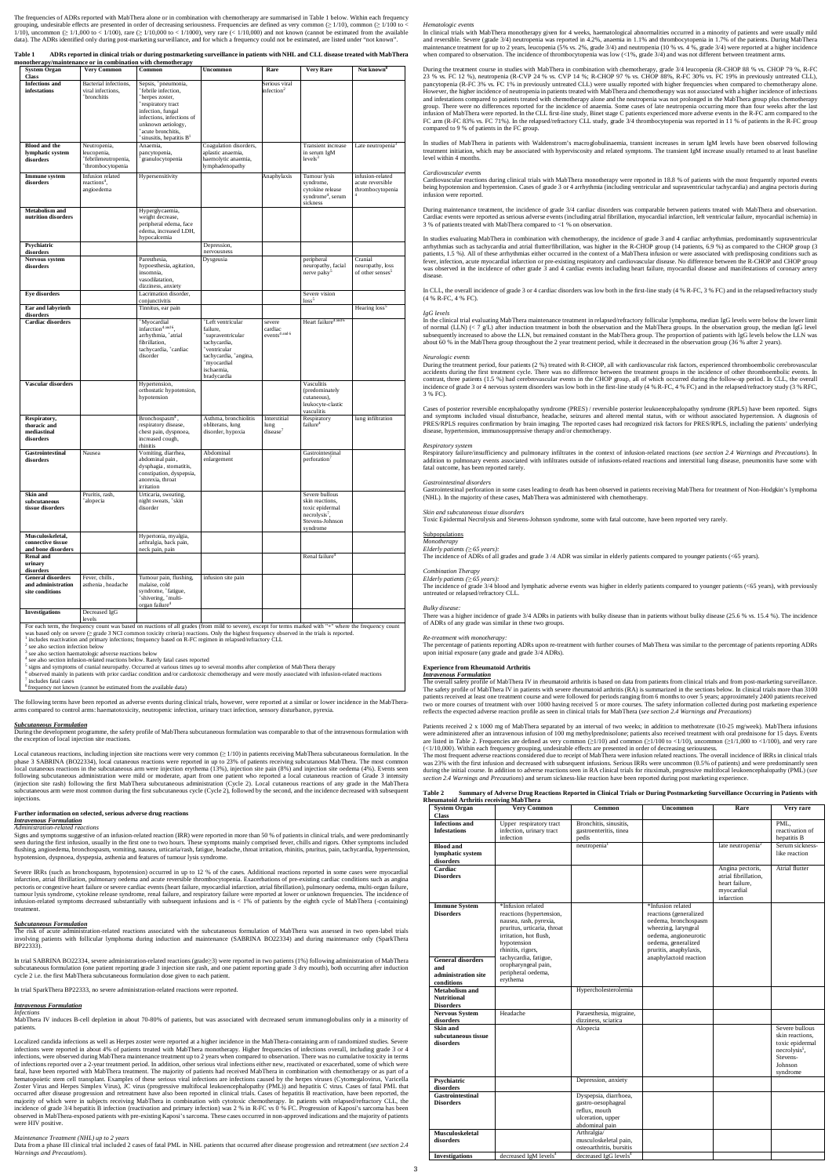The frequencies of ADRs reported with MabThera alone or in combination with chemotherapy are summarised in Table 1 below. Within each frequency grouping, undesirable effects are presented in order of decreasing seriousness. Frequencies are defined as very common ( $\geq 1/10$ ), common ( $\geq 1/100$  to <  $\geq 1/100$  to <  $\geq 1/1000$  to <  $\geq 1/10,000$  to <  $\geq 1/1$ data). The ADRs identified only during post-marketing surveillance, and for which a frequency could not be estimated, are listed under "not known".

| <b>Table 1</b> | ADRs reported in clinical trials or during postmarketing surveillance in patients with NHL and CLL disease treated with MabThera |
|----------------|----------------------------------------------------------------------------------------------------------------------------------|
|                | monotherapy/maintenance or in combination with chemotherapy                                                                      |

8 ncy not known

| <b>System Organ</b>                                               | <b>Very Common</b>                                                      | Common                                                                                                                                                                                                                                                                                                                                                                                                                                 | <b>Uncommon</b>                                                                                                                                                   | Rare                                           | <b>Very Rare</b>                                                                                    | Not known <sup>8</sup>                                      |
|-------------------------------------------------------------------|-------------------------------------------------------------------------|----------------------------------------------------------------------------------------------------------------------------------------------------------------------------------------------------------------------------------------------------------------------------------------------------------------------------------------------------------------------------------------------------------------------------------------|-------------------------------------------------------------------------------------------------------------------------------------------------------------------|------------------------------------------------|-----------------------------------------------------------------------------------------------------|-------------------------------------------------------------|
| Class<br><b>Infections</b> and                                    | Bacterial infections,                                                   | Sepsis, <sup>+</sup> pneumonia,                                                                                                                                                                                                                                                                                                                                                                                                        |                                                                                                                                                                   | Serious viral                                  |                                                                                                     |                                                             |
| infestations                                                      | viral infections,<br><sup>+</sup> bronchitis                            | *febrile infection,<br><sup>+</sup> herpes zoster,<br>respiratory tract<br>infection, fungal<br>infections, infections of<br>unknown aetiology,<br><sup>+</sup> acute bronchitis,<br>*sinusitis, hepatitis B <sup>1</sup>                                                                                                                                                                                                              |                                                                                                                                                                   | infection <sup>2</sup>                         |                                                                                                     |                                                             |
| <b>Blood and the</b><br>lymphatic system<br>disorders             | Neutropenia,<br>leucopenia,<br>+febrileneutropenia,<br>thrombocytopenia | Anaemia,<br>pancytopenia,<br>*granulocytopenia                                                                                                                                                                                                                                                                                                                                                                                         | Coagulation disorders,<br>aplastic anaemia,<br>haemolytic anaemia,<br>lymphadenopathy                                                                             |                                                | Transient increase<br>in serum IgM<br>levels <sup>3</sup>                                           | Late neutropenia <sup>3</sup>                               |
| Immune system<br>disorders                                        | Infusion related<br>reactions <sup>4</sup> ,<br>angioedema              | Hypersensitivity                                                                                                                                                                                                                                                                                                                                                                                                                       |                                                                                                                                                                   | Anaphylaxis                                    | Tumour lysis<br>syndrome,<br>cytokine release<br>syndrome <sup>4</sup> , serum<br>sickness          | infusion-related<br>acute reversible<br>thrombocytopenia    |
| <b>Metabolism</b> and<br>nutrition disorders                      |                                                                         | Hyperglycaemia,<br>weight decrease,<br>peripheral edema, face<br>edema, increased LDH,<br>hypocalcemia                                                                                                                                                                                                                                                                                                                                 |                                                                                                                                                                   |                                                |                                                                                                     |                                                             |
| Psychiatric<br>disorders                                          |                                                                         |                                                                                                                                                                                                                                                                                                                                                                                                                                        | Depression,<br>nervousness                                                                                                                                        |                                                |                                                                                                     |                                                             |
| Nervous system<br>disorders                                       |                                                                         | Paresthesia,<br>hypoesthesia, agitation,<br>insomnia,<br>vasodilatation,<br>dizziness, anxiety                                                                                                                                                                                                                                                                                                                                         | Dysgeusia                                                                                                                                                         |                                                | peripheral<br>neuropathy, facial<br>nerve palsy <sup>5</sup>                                        | Cranial<br>neuropathy, loss<br>of other senses <sup>5</sup> |
| <b>Eye disorders</b>                                              |                                                                         | Lacrimation disorder,                                                                                                                                                                                                                                                                                                                                                                                                                  |                                                                                                                                                                   |                                                | Severe vision<br>loss <sup>5</sup>                                                                  |                                                             |
| Ear and labyrinth<br>disorders                                    |                                                                         | conjunctivitis<br>Tinnitus, ear pain                                                                                                                                                                                                                                                                                                                                                                                                   |                                                                                                                                                                   |                                                |                                                                                                     | Hearing loss <sup>5</sup>                                   |
| <b>Cardiac disorders</b>                                          |                                                                         | *Myocardial<br>infarction <sup>4</sup> and 6.<br>arrhythmia, +atrial<br>fibrillation,<br>tachycardia, +cardiac<br>disorder                                                                                                                                                                                                                                                                                                             | <sup>+</sup> Left ventricular<br>failure,<br>supraventricular<br>tachycardia,<br>ventricular<br>tachycardia, *angina,<br>+myocardial<br>ischaemia,<br>bradycardia | severe<br>cardiac<br>events <sup>4</sup> and 6 | Heart failure <sup>4 and 6</sup>                                                                    |                                                             |
| Vascular disorders                                                |                                                                         | Hypertension,<br>orthostatic hypotension,<br>hypotension                                                                                                                                                                                                                                                                                                                                                                               |                                                                                                                                                                   |                                                | Vasculitis<br>(predominately<br>cutaneous),<br>leukocyte-clastic<br>vasculitis                      |                                                             |
| Respiratory,<br>thoracic and<br>mediastinal<br>disorders          |                                                                         | Bronchospasm <sup>4</sup> ,<br>respiratory disease,<br>chest pain, dyspnoea,<br>increased cough,<br>rhinitis                                                                                                                                                                                                                                                                                                                           | Asthma, bronchiolitis<br>obliterans, lung<br>disorder, hypoxia                                                                                                    | Interstitial<br>lung<br>disease <sup>7</sup>   | Respiratory<br>failure <sup>4</sup>                                                                 | lung infiltration                                           |
| Gastrointestinal<br>disorders                                     | Nausea                                                                  | Vomiting, diarrhea,<br>abdominal pain,<br>dysphagia, stomatitis,<br>constipation, dyspepsia,<br>anorexia, throat<br>irritation                                                                                                                                                                                                                                                                                                         | Abdominal<br>enlargement                                                                                                                                          |                                                | Gastrointestinal<br>perforation <sup>7</sup>                                                        |                                                             |
| Skin and<br>subcutaneous<br>tissue disorders                      | Pruritis, rash,<br><sup>+</sup> alopecia                                | Urticaria, sweating,<br>night sweats, <sup>+</sup> skin<br>disorder                                                                                                                                                                                                                                                                                                                                                                    |                                                                                                                                                                   |                                                | Severe bullous<br>skin reactions,<br>toxic epidermal<br>necrolysis',<br>Stevens-Johnson<br>syndrome |                                                             |
| Musculoskeletal,<br>connective tissue<br>and bone disorders       |                                                                         | Hypertonia, myalgia,<br>arthralgia, back pain,<br>neck pain, pain                                                                                                                                                                                                                                                                                                                                                                      |                                                                                                                                                                   |                                                |                                                                                                     |                                                             |
| <b>Renal and</b><br>urinary<br>disorders                          |                                                                         |                                                                                                                                                                                                                                                                                                                                                                                                                                        |                                                                                                                                                                   |                                                | Renal failure <sup>4</sup>                                                                          |                                                             |
| <b>General disorders</b><br>and administration<br>site conditions | Fever, chills,<br>asthenia, headache                                    | Tumour pain, flushing,<br>malaise, cold<br>syndrome, 'fatigue,<br>*shivering, *multi-<br>organ failure <sup>4</sup>                                                                                                                                                                                                                                                                                                                    | infusion site pain                                                                                                                                                |                                                |                                                                                                     |                                                             |
| <b>Investigations</b>                                             | Decreased IgG<br>levels                                                 |                                                                                                                                                                                                                                                                                                                                                                                                                                        |                                                                                                                                                                   |                                                |                                                                                                     |                                                             |
| $2$ see also section infection below<br>alco cootion haamatologi  |                                                                         | For each term, the frequency count was based on reactions of all grades (from mild to severe), except for terms marked with "+" where the frequency count<br>was based only on severe ( $\ge$ grade 3 NCI common toxicity criteria) reactions. Only the highest frequency observed in the trials is reported.<br><sup>1</sup> includes reactivation and primary infections; frequency based on R-FC regimen in relapsed/refractory CLL |                                                                                                                                                                   |                                                |                                                                                                     |                                                             |

<sup>3</sup> see also section haematologic adverse reactions below<br><sup>4</sup> see also section infusion-related reactions below. Rarely fatal cases reported<br><sup>5</sup> simes and symptoms of crapial pauropathy. Occurred at various times up to a

signs and symptoms of cranial neuropathy. Occurred at various times up to several months after completion of MabThera therapy <sup>6</sup> observed mainly in patients with prior cardiac condition and/or cardiotoxic chemotherapy and were mostly associated with infusion-related reactions

opment programme, the safety profile of MabThera subcutaneous formulation was comparable to that of the intravenous formulation with the exception of local injection site reactions.

7 includes fatal cases

The following terms have been reported as adverse events during clinical trials, however, were reported at a similar or lower incidence in the MabTheraarms compared to control arms: haematotoxicity, neutropenic infection, urinary tract infection, sensory disturbance, pyrexia.

## *Subcutaneous Formulation*

In clinical trials with MabThera monotherapy given for 4 weeks, haematological abnormalities occurred in a minority of patients and were usually mild and reversible. Severe (grade 3/4) neutropenia was reported in 4.2%, anaemia in 1.1% and thrombocytopenia in 1.7% of the patients. During MabThera<br>maintenance treatment for up to 2 years, leucopenia (5% vs. 2%, grade 3/4) when compared to observation. The incidence of thrombocytopenia was low (<1%, grade 3/4) and was not different between treatment arms

Local cutaneous reactions, including injection site reactions were very common (≥ 1/10) in patients receiving MabThera subcutaneous formulation. In the phase 3 SABRINA (BO22334), local cutaneous reactions were reported in up to 23% of patients receiving subcutanous MabThera. The most common local cutaneous reactions in the subcutaneous arm were injection erythema (13%), injection site pain (8%) and injection site oedema (4%). Events seen following subcutaneous administration were mild or moderate, apart from following subcutaneous administration were mild or moderate, apart from one patient who reported a local cutaneous reaction of Grade 3 (injection site rash) following the first MabThera subcutaneous administration (Cycle 2). Local cutaneous reactions of any grade in the MabThera subcutaneous arm were most common during the first subcutaneous cycle (Cycle 2), followed by the second, and the incidence decreased with subsequent injections.

### **Further information on selected, serious adverse drug reactions**

*Intravenous Formulation Administration-related reactions*

Cardiovascular reactions during clinical trials with MabThera monotherapy were reported in 18.8 % of patients with the most frequently reported events being hypotension and hypertension. Cases of grade 3 or 4 arrhythmia (including ventricular and supraventricular tachycardia) and angina pectoris during infusion were renorted .<br>were reported.

Signs and symptoms suggestive of an infusion-related reaction (IRR) were reported in more than 50 % of patients in clinical trials, and were predominantly seen during the first infusion, usually in the first one to two hours. These symptoms mainly comprised fever, chills and rigors. Other symptoms included flushing, angioedema, bronchospasm, vomiting, nausea, urticaria/rash, fatigue, headache, throat irritation, rhinitis, pruritus, pain, tachycardia, hypertension, hypotension, dyspnoea, dyspepsia, asthenia and features of tumour lysis syndrome.

In CLL, the overall incidence of grade 3 or 4 cardiac disorders was low both in the first-line study (4 % R-FC, 3 % FC) and in the relapsed/refractory study (4 % R-FC, 4 % FC).

Severe IRRs (such as bronchospasm, hypotension) occurred in up to 12 % of the cases. Additional reactions reported in some cases were myocardial infarction, atrial fibrillation, pulmonary oedema and acute reversible thrombocytopenia. Exacerbations of pre-existing cardiac conditions such as angina toris or congestive heart failure or severe cardiac events (heart failure, myocardial infarction, atrial fibrillation), pulmonary oedema, multi-organ fail tumour lysis syndrome, cytokine release syndrome, renal failure, and respiratory failure were reported at lower or unknown frequencies. The incidence of infusion-related symptoms decreased substantially with subsequent infusions and is < 1% of patients by the eighth cycle of MabThera (-containing) treatment.

### *Subcutaneous Formulation*

The risk of acute administration-related reactions associated with the subcutaneous formulation of MabThera was assessed in two open-label trials involving patients with follicular lymphoma during induction and maintenance (SABRINA BO22334) and during maintenance only (SparkThera BP22333).

In trial SABRINA BO22334, severe administration-related reactions (grade≥3) were reported in two patients (1%) following administration of MabThera subcutaneous formulation (one patient reporting grade 3 injection site rash, and one patient reporting grade 3 dry mouth), both occurring after induction cycle 2 i.e. the first MabThera subcutaneous formulation dose given to each patient.

In trial SparkThera BP22333, no severe administration-related reactions were reported.

### *Intravenous Formulation*

*Infections* MabThera IV induces B-cell depletion in about 70-80% of patients, but was associated with decreased serum immunoglobulins only in a minority of patients.

Patients received 2 x 1000 mg of MabThera separated by an interval of two weeks; in addition to methotrexate (10-25 mg/week). MabThera infusions were administered after an intravenous infusion of 100 mg methylprednisolone; patients also received treatment with oral prednisone for 15 days. Events are listed in Table 2. Frequencies are defined as very common (≥1/10) and common (≥1/100 to <1/10), uncommon (≥1/1,000 to <1/100), and very rare (<1/10,000). Within each frequency grouping, undesirable effects are presented in order of decreasing seriousness.<br>The most frequent adverse reactions considered due to receipt of MabThera were infusion related reactions.

Localized candida infections as well as Herpes zoster were reported at a higher incidence in the MabThera-containing arm of randomized studies. Severe infections were reported in about 4% of patients treated with MabThera monotherapy. Higher frequencies of infections overall, including grade 3 or 4 infections, were observed during MabThera maintenance treatment up to 2 years when compared to observation. There was no cumulative toxicity in terms of infections reported over a 2-year treatment period. In addition, other serious viral infections either new, reactivated or exacerbated, some of which were fatal, have been reported with MabThera treatment. The majority of patients had received MabThera in combination with chemotherapy or as part of a hematopoietic stem cell transplant. Examples of these serious viral infections are infections caused by the herpes viruses (Cytomegalovirus, Varicella Zoster Virus and Herpes Simplex Virus), JC virus (progressive multifocal leukoencephalopathy (PML)) and hepatitis C virus. Cases of fatal PML that occurred after disease progression and retreatment have also been reported in clinical trials. Cases of hepatitis B reactivation, have been reported, the majority of which were in subjects receiving MabThera in combination with cytotoxic chemotherapy. In patients with relapsed/refractory CLL, the incidence of grade 3/4 hepatitis B infection (reactivation and primary infection) was 2 % in R-FC vs 0 % FC. Progression of Kaposi's sarcoma has been observed in MabThera-exposed patients with pre-existing Kaposi's sarcoma. These cases occurred in non-approved indications and the majority of patients were HIV positive.

### *Maintenance Treatment (NHL) up to 2 years*

Data from a phase III clinical trial included 2 cases of fatal PML in NHL patients that occurred after disease progression and retreatment (*see section 2.4 Warnings and Precautions*).

### *Hematologic events*

During the treatment course in studies with MabThera in combination with chemotherapy, grade 3/4 leucopenia (R-CHOP 88 % vs. CHOP 79 %, R-FC 23 % vs. FC 12 %), neutropenia (R-CVP 24 % vs. CVP 14 %; R-CHOP 97 % vs. CHOP 88%, R-FC 30% vs. FC 19% in previously untreated CLL), pancytopenia (R-FC 3% vs. FC 1% in previously untreated CLL) were usually reported with higher frequencies when compared to chemotherapy alone.<br>However, the higher incidence of neutropenia in patients treated with MabThera and infestations compared to patients treated with chemotherapy alone and the neutropenia was not prolonged in the MabThera group plus chemotherapy group. There were no differences reported for the incidence of anaemia. Some cases of late neutropenia occurring more than four weeks after the last infusion of MabThera were reported. In the CLL first-line study, Binet stage C patients experienced more adverse events in the R-FC arm compared to the<br>FC arm (R-FC 83% vs. FC 71%). In the relapsed/refractory CLL study, gr compared to 9 % of patients in the FC group.

In studies of MabThera in patients with Waldenstrom's macroglobulinaemia, transient increases in serum IgM levels have been observed following treatment initiation, which may be associated with hyperviscosity and related symptoms. The transient IgM increase usually returned to at least baseline level within 4 months.

### *Cardiovascular events*

During maintenance treatment, the incidence of grade 3/4 cardiac disorders was comparable between patients treated with MabThera and observation. Cardiac events were reported as serious adverse events (including atrial fibrillation, myocardial infarction, left ventricular failure, myocardial ischemia) in 3 % of patients treated with MabThera compared to <1 % on observation.

In studies evaluating MabThera in combination with chemotherapy, the incidence of grade 3 and 4 cardiac arrhythmias, predominantly supraventricular arrhythmias such as tachycardia and atrial flutter/fibrillation, was higher in the R-CHOP group (14 patients, 6.9 %) as compared to the CHOP group (3 patients, 1.5 %). All of these arrhythmias either occurred in the context of a MabThera infusion or were associated with predisposing conditions fever, infection, acute myocardial infarction or pre-existing respiratory and cardiovascular disease. No difference between the R-CHOP and CHOP group was observed in the incidence of other grade 3 and 4 cardiac events including heart failure, myocardial disease and manifestations of coronary artery disease.

### *IgG levels*

In the clinical trial evaluating MabThera maintenance treatment in relapsed/refractory follicular lymphoma, median IgG levels were below the lower limit of normal (LLN) (< 7 g/L) after induction treatment in both the observation and the MabThera groups. In the observation group, the median IgG level<br>subsequently increased to above the LLN, but remained constant in the MabT about 60 % in the MabThera group throughout the 2 year treatment period, while it decreased in the observation group (36 % after 2 years).

### *Neurologic events*

During the treatment period, four patients (2 %) treated with R-CHOP, all with cardiovascular risk factors, experienced thromboembolic cerebrovascular accidents during the first treatment cycle. There was no difference between the treatment groups in the incidence of other thromboembolic events. In<br>contrast, three patients (1.5 %) had cerebrovascular events in the CHOP g incidence of grade 3 or 4 nervous system disorders was low both in the first-line study (4 % R-FC, 4 % FC) and in the relapsed/refractory study (3 % RFC, 3 % FC).

Cases of posterior reversible encephalopathy syndrome (PRES) / reversible posterior leukoencephalopathy syndrome (RPLS) have been reported. Signs and symptoms included visual disturbance, headache, seizures and altered mental status, with or without associated hypertension. A diagnosis of<br>PRES/RPLS requires confirmation by brain imaging. The reported cases had recog disease, hypertension, immunosuppressive therapy and/or chemotherapy.

#### *Respiratory system*

Respiratory failure/insufficiency and pulmonary infiltrates in the context of infusion-related reactions (*see section 2.4 Warnings and Precautions*). In addition to pulmonary events associated with infiltrates outside of infusions-related reactions and interstitial lung disease, pneumonitis have some with fatal outcome, has been reported rarely.

### *Gastrointestinal disorders*

Gastrointestinal perforation in some cases leading to death has been observed in patients receiving MabThera for treatment of Non-Hodgkin's lymphoma (NHL). In the majority of these cases, MabThera was administered with chemotherapy.

### *Skin and subcutaneous tissue disorders*

Toxic Epidermal Necrolysis and Stevens-Johnson syndrome, some with fatal outcome, have been reported very rarely.

#### Subpopulations

*Monotherapy Elderly patients (≥ 65 years):*

The incidence of ADRs of all grades and grade 3 /4 ADR was similar in elderly patients compared to younger patients (<65 years).

### *Combination Therapy*

*Elderly patients (* $\geq 65$  *years).* 

The incidence of grade 3/4 blood and lymphatic adverse events was higher in elderly patients compared to younger patients (<65 years), with previously untreated or relapsed/refractory CLL.

### *Bulky disease:*

There was a higher incidence of grade 3/4 ADRs in patients with bulky disease than in patients without bulky disease (25.6 % vs. 15.4 %). The incidence of ADRs of any grade was similar in these two groups.

### *Re-treatment with monotherapy:*

The percentage of patients reporting ADRs upon re-treatment with further courses of MabThera was similar to the percentage of patients reporting ADRs upon initial exposure (any grade and grade 3/4 ADRs).

### **Experience from Rheumatoid Arthritis**

*Intravenous Formulation* The overall safety profile of MabThera IV in rheumatoid arthritis is based on data from patients from clinical trials and from post-marketing surveillance. The safety profile of MabThera IV in patients with severe rheumatoid arthritis (RA) is summarized in the sections below. In clinical trials more than 3100 patients received at least one treatment course and were followed for periods ranging from 6 months to over 5 years; approximately 2400 patients received two or more courses of treatment with over 1000 having received 5 or more courses. The safety information collected during post marketing experience reflects the expected adverse reaction profile as seen in clinical trials for MabThera (*see section 2.4 Warnings and Precautions*)

was 23% with the first infusion and decreased with subsequent infusions. Serious IRRs were uncommon (0.5% of patients) and were predominantly seen during the initial course. In addition to adverse reactions seen in RA clinical trials for rituximab, progressive multifocal leukoencephalopathy (PML) (*see section 2.4 Warnings and Precautions*) and serum sickness-like reaction have been reported during post marketing experience.

### **Table 2 Summary of Adverse Drug Reactions Reported in Clinical Trials or During Postmarketing Surveillance Occurring in Patients with**

| Rheumatoid Arthritis receiving MabThera<br><b>System Organ</b>       | <b>Very Common</b>                                                                                                                                                   | Common                                                                                              | <b>Uncommon</b>                                                                                                                                                      | Rare                                                                                   | Very rare                                                                                                            |
|----------------------------------------------------------------------|----------------------------------------------------------------------------------------------------------------------------------------------------------------------|-----------------------------------------------------------------------------------------------------|----------------------------------------------------------------------------------------------------------------------------------------------------------------------|----------------------------------------------------------------------------------------|----------------------------------------------------------------------------------------------------------------------|
| <b>Class</b>                                                         |                                                                                                                                                                      |                                                                                                     |                                                                                                                                                                      |                                                                                        |                                                                                                                      |
| <b>Infections</b> and<br><b>Infestations</b>                         | Upper respiratory tract<br>infection, urinary tract<br>infection                                                                                                     | Bronchitis, sinusitis,<br>gastroenteritis, tinea<br>pedis                                           |                                                                                                                                                                      |                                                                                        | PML.<br>reactivation of<br>hepatitis B                                                                               |
| <b>Blood and</b><br>lymphatic system<br>disorders                    |                                                                                                                                                                      | neutropenia <sup>1</sup>                                                                            |                                                                                                                                                                      | late neutropenia <sup>2</sup>                                                          | Serum sickness-<br>like reaction                                                                                     |
| Cardiac<br><b>Disorders</b>                                          |                                                                                                                                                                      |                                                                                                     |                                                                                                                                                                      | Angina pectoris,<br>atrial fibrillation.<br>heart failure,<br>myocardial<br>infarction | Atrial flutter                                                                                                       |
| <b>Immune System</b><br><b>Disorders</b>                             | *Infusion related<br>reactions (hypertension,<br>nausea, rash, pyrexia,<br>pruritus, urticaria, throat<br>irritation, hot flush.<br>hypotension<br>rhinitis, rigors, |                                                                                                     | *Infusion related<br>reactions (generalized<br>oedema, bronchospasm<br>wheezing, laryngeal<br>oedema, angioneurotic<br>oedema, generalized<br>pruritis, anaphylaxis, |                                                                                        |                                                                                                                      |
| <b>General disorders</b><br>and<br>administration site<br>conditions | tachycardia, fatigue,<br>oropharyngeal pain,<br>peripheral oedema,<br>erythema                                                                                       |                                                                                                     | anaphylactoid reaction                                                                                                                                               |                                                                                        |                                                                                                                      |
| Metabolism and<br><b>Nutritional</b><br><b>Disorders</b>             |                                                                                                                                                                      | Hypercholesterolemia                                                                                |                                                                                                                                                                      |                                                                                        |                                                                                                                      |
| <b>Nervous System</b><br>disorders                                   | Headache                                                                                                                                                             | Paraesthesia, migraine,<br>dizziness, sciatica                                                      |                                                                                                                                                                      |                                                                                        |                                                                                                                      |
| Skin and<br>subcutaneous tissue<br>disorders                         |                                                                                                                                                                      | Alopecia                                                                                            |                                                                                                                                                                      |                                                                                        | Severe bullous<br>skin reactions.<br>toxic epidermal<br>necrolysis <sup>5</sup> ,<br>Stevens-<br>Johnson<br>syndrome |
| Psychiatric<br>disorders                                             |                                                                                                                                                                      | Depression, anxiety                                                                                 |                                                                                                                                                                      |                                                                                        |                                                                                                                      |
| Gastrointestinal<br><b>Disorders</b>                                 |                                                                                                                                                                      | Dyspepsia, diarrhoea,<br>gastro-oesophageal<br>reflux, mouth<br>ulceration, upper<br>abdominal pain |                                                                                                                                                                      |                                                                                        |                                                                                                                      |
| <b>Musculoskeletal</b><br>disorders                                  |                                                                                                                                                                      | Arthralgia/<br>musculoskeletal pain,<br>osteoarthritis, bursitis                                    |                                                                                                                                                                      |                                                                                        |                                                                                                                      |
| <b>Investigations</b>                                                | decreased IgM levels <sup>4</sup>                                                                                                                                    | decreased IgG levels <sup>4</sup>                                                                   |                                                                                                                                                                      |                                                                                        |                                                                                                                      |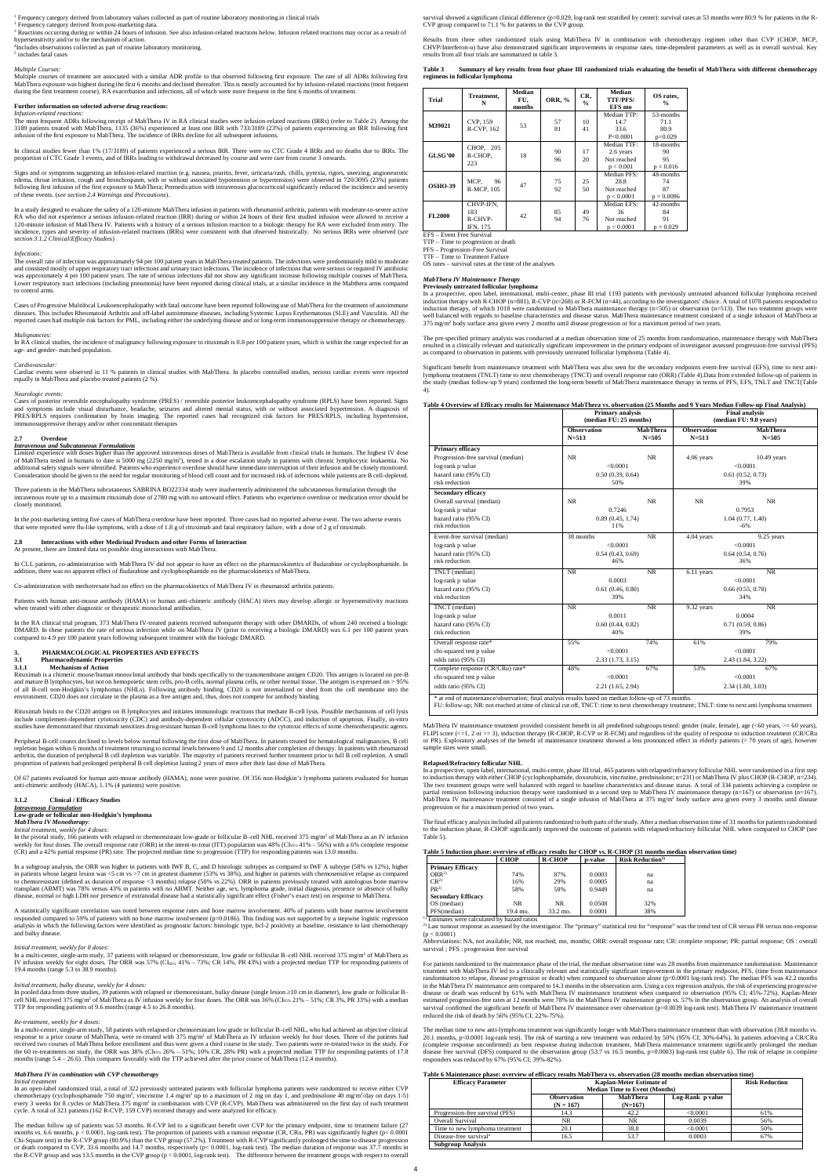1 Frequency category derived from laboratory values collected as part of routine laboratory monitoring.in clinical trials

<sup>2</sup> Frequency category derived from post-marketing data.

<sup>3</sup> Reactions occurring during or within 24 hours of infusion. See also infusion-related reactions below. Infusion related reactions may occur as a result of hypersensitivity and/or to the mechanism of action.

4 Includes observations collected as part of routine laboratory monitoring.

5 includes fatal cases

### *Multiple Courses:*

Multiple courses of treatment are associated with a similar ADR profile to that observed following first exposure. The rate of all ADRs following first MabThera exposure was highest during the first 6 months and declined thereafter. This is mostly accounted for by infusion-related reactions (most frequent during the first treatment course), RA exacerbation and infections, all of which were more frequent in the first 6 months of treatment.

### **Further information on selected adverse drug reactions:**

*Infusion-related reactions* 

The most frequent ADRs following receipt of MabThera IV in RA clinical studies were infusion-related reactions (IRRs) (refer to Table 2). Among the 3189 patients treated with MabThera, 1135 (36%) experienced at least one IRR with 733/3189 (23%) of patients experiencing an IRR following first infusion of the first exposure to MabThera. The incidence of IRRs decline for all subsequent infusions.

In clinical studies fewer than 1% (17/3189) of patients experienced a serious IRR. There were no CTC Grade 4 IRRs and no deaths due to IRRs. The proportion of CTC Grade 3 events, and of IRRs leading to withdrawal decreased by course and were rare from course 3 onwards.

Signs and or symptoms suggesting an infusion-related reaction (e.g. nausea, pruritis, fever, urticaria/rash, chills, pyrexia, rigors, sneezing, angioneurotic edema, throat irritation, cough and bronchospasm, with or without associated hypotension or hypertension) were observed in 720/3095 (23%) patients<br>following first infusion of the first exposure to MabThera; Premedication w of these events. (*see section 2.4 Warnings and Precautions*).

In RA clinical studies, the incidence of malignancy following exposure to rituximab is 0.8 per 100 patient years, which is within the range expected for an age- and gender- matched population.

Cases of posterior reversible encephalopathy syndrome (PRES) / reversible posterior leukoencephalopathy syndrome (RPLS) have been reported. Signs<br>and symptoms include visual disturbance, headache, seizures and altered ment PRES/RPLS requires confirmation by brain imaging. The reported cases had recognized risk factors for PRES/RPLS, including hypertension, immunosuppressive therapy and/or other concomitant therapies

In a study designed to evaluate the safety of a 120-minute MabThera infusion in patients with rheumatoid arthritis, patients with moderate-to-severe active RA who did not experience a serious infusion-related reaction (IRR) during or within 24 hours of their first studied infusion were allowed to receive a 120-minute infusion of MabThera IV. Patients with a history of a serious infusion reaction to a biologic therapy for RA were excluded from entry. The incidence, types and severity of infusion-related reactions (IRRs) were consistent with that observed historically. No serious IRRs were observed (*see section 3.1.2 Clinical/Efficacy Studies*)

### *Infections:*

The overall rate of infection was approximately 94 per 100 patient years in MabThera treated patients. The infections were predominately mild to moderate and consisted mostly of upper respiratory tract infections and urinary tract infections. The incidence of infections that were serious or required IV antibiotic was approximately 4 per 100 patient years. The rate of serious infections did not show any significant increase following multiple courses of MabThera. Lower respiratory tract infections (including pneumonia) have been reported during clinical trials, at a similar incidence in the Mabthera arms compared to control arms.

Cases of Progressive Multifocal Leukoencephalopathy with fatal outcome have been reported following use of MabThera for the treatment of autoimmune diseases. This includes Rheumatoid Arthritis and off-label autoimmune diseases, including Systemic Lupus Erythematosus (SLE) and Vasculitis. All the reported cases had multiple risk factors for PML, including either the underlying disease and or long-term immunosuppressive therapy or chemotherapy.

### *Malignancies:*

*Cardiovascular:* Cardiac events were observed in 11 % patients in clinical studies with MabThera. In placebo controlled studies, serious cardiac events were reported equally in MabThera and placebo treated patients (2 %).

#### *Neurologic events:*

In the pivotal study, 166 patients with relapsed or chemoresistant low-grade or follicular B-cell NHL received 375 mg/m<sup>2</sup> of MabThera as an IV infusion weekly for four doses. The overall response rate (ORR) in the intent-to-treat (ITT) population was 48% (CI<sub>95%</sub> 41% – 56%) with a 6% complete response (CR) and a 42% partial response (PR) rate. The projected median time to progression (TTP) for responding patients was 13.0 months.

### **2.7 Overdose**

*Intravenous and Subcutaneous Formulations*

Limited experience with doses higher than the approved intravenous doses of MabThera is available from clinical trials in humans. The highest IV dose of MabThera tested in humans to date is 5000 mg (2250 mg/m<sup>2</sup>), tested in a dose escalation study in patients with chronic lymphocytic leukaemia. No additional safety signals were identified. Patients who experience overdose should have immediate interruption of their infusion and be closely monitored. Consideration should be given to the need for regular monitoring of blood cell count and for increased risk of infections while patients are B cell-depleted.

In a subgroup analysis, the ORR was higher in patients with IWF B, C, and D histologic subtypes as compared to IWF A subtype (58% vs 12%), higher in patients whose largest lesion was <5 cm vs >7 cm in greatest diameter (53% vs 38%), and higher in patients with chemosensitive relapse as compared to chemoresistant (defined as duration of response <3 months) relapse (50% vs 22%). ORR in patients previously treated with autologous bone marrow transplant (ABMT) was 78% versus 43% in patients with no ABMT. Neither age, sex, lymphoma grade, initial diagnosis, presence disease, normal or high LDH nor presence of extranodal disease had a statistically significant effect (Fisher's exact test) on response to MabThera.

A statistically significant correlation was noted between response rates and bone marrow involvement. 40% of patients with bone marrow involvement responded compared to 59% of patients with no bone marrow involvement (p=0.0186). This finding was not supported by a stepwise logistic regression analysis in which the following factors were identified as prognostic factors: histologic type, bcl-2 positivity at baseline, resistance to last chemotherapy and bulky disease

In a multi-center, single-arm study, 37 patients with relapsed or chemoresistant, low grade or follicular B–cell NHL received 375 mg/m<sup>2</sup> of MabThera as<br>IV infusion weekly for eight doses. The ORR was 57% (CI<sub>95%</sub> 41% – 73 19.4 months (range 5.3 to 38.9 months).

Three patients in the MabThera subcutaneous SABRINA BO22334 study were inadvertently administered the subcutaneous formulation through the intravenous route up to a maximum rituximab dose of 2780 mg with no untoward effect. Patients who experience overdose or medication error should be closely monitored.

In the post-marketing setting five cases of MabThera overdose have been reported. Three cases had no reported adverse event. The two adverse events<br>that were reported were flu-like symptoms, with a dose of 1.8 g of rituxim

In pooled data from three studies, 39 patients with relapsed or chemoresistant, bulky disease (single lesion ≥10 cm in diameter), low grade or follicular B– cell NHL received 375 mg/m<sup>2</sup> of MabThera as IV infusion weekly for four doses. The ORR was 36% (CI<sub>95%</sub> 21% – 51%; CR 3%, PR 33%) with a median TTP for responding patients of 9.6 months (range 4.5 to 26.8 months).

### **2.8 Interactions with other Medicinal Products and other Forms of Interaction** At present, there are limited data on possible drug interactions with MabThera.

In CLL patients, co-administration with MabThera IV did not appear to have an effect on the pharmacokinetics of fludarabine or cyclophosphamide. In<br>addition, there was no apparent effect of fludarabine and cyclophosphamide

ninistration with methotrexate had no effect on the pharmacokinetics of MabThera IV in rheumatoid arthritis patients.

Patients with human anti-mouse antibody (HAMA) or human anti-chimeric antibody (HACA) titers may develop allergic or hypersensitivity reactions when treated with other diagnostic or therapeutic monoclonal antibodies.

survival showed a significant clinical difference (p=0.029, log-rank test stratified by center): survival rates at 53 months were 80.9 % for patients in the R-CVP group compared to 71.1 % for patients in the CVP group.

In the RA clinical trial program, 373 MabThera IV-treated patients received subsequent therapy with other DMARDs, of whom 240 received a biologic DMARD. In these patients the rate of serious infection while on MabThera IV (prior to receiving a biologic DMARD) was 6.1 per 100 patient years compared to 4.9 per 100 patient years following subsequent treatment with the biologic DMARD.

## **3. PHARMACOLOGICAL PROPERTIES AND EFFECTS**

### **3.1 Pharmacodynamic Properties**

### **3.1.1 Mechanism of Action**

Rituximab is a chimeric mouse/human monoclonal antibody that binds specifically to the transmembrane antigen CD20. This antigen is located on pre-B and mature B lymphocytes, but not on hemopoietic stem cells, pro-B cells, normal plasma cells, or other normal tissue. The antigen is expressed on > 95% of all B-cell non-Hodgkin's lymphomas (NHLs). Following antibody binding, CD20 is not internalized or shed from the cell membrane into the environment. CD20 does not circulate in the plasma as a free antigen and, thus, does not compete for antibody binding.

In a prospective, open label, international, multi-center, phase III trial 1193 patients with previously untreated advanced follicular lymphoma received induction therapy with R-CHOP (n=881), R-CVP (n=268) or R-FCM (n=44), according to the investigators' choice. A total of 1078 patients responded to induction therapy, of which 1018 were randomized to MabThera maintenance therapy (n=505) or observation (n=513). The two treatment groups were well balanced with regards to baseline characteristics and disease status. MabThera maintenance treatment consisted of a single infusion of MabThera at<br>375 mg/m² body surface area given every 2 months until disease progres

Rituximab binds to the CD20 antigen on B lymphocytes and initiates immunologic reactions that mediate B-cell lysis. Possible mechanisms of cell lysis include complement-dependent cytotoxicity (CDC) and antibody-dependent cellular cytotoxicity (ADCC), and induction of apoptosis. Finally, in-vitro studies have demonstrated that rituximab sensitizes drug-resistant human B-cell lymphoma lines to the cytotoxic effects of some chemotherapeutic agents.

Peripheral B-cell counts declined to levels below normal following the first dose of MabThera. In patients treated for hematological malignancies, B cell repletion began within 6 months of treatment returning to normal levels between 9 and 12 months after completion of therapy. In patients with rheum arthritis, the duration of peripheral B cell depletion was variable. The majority of patients received further treatment prior to full B cell repletion. A small proportion of patients had prolonged peripheral B cell depletion lasting 2 years of more after their last dose of MabThera.

Of 67 patients evaluated for human anti-mouse antibody (HAMA), none were positive. Of 356 non-Hodgkin's lymphoma patients evaluated for human anti-chimeric antibody (HACA), 1.1% (4 patients) were positive.

### **3.1.2 Clinical / Efficacy Studies**

### *Intravenous Formulation* **Low-grade or follicular non-Hodgkin's lymphoma** *MabThera IV Monotherapy:*

*Initial treatment, weekly for 4 doses:*

2) Last tumour response as assessed by the investigator. The "primary" statistical test for "response" was the trend test of CR versus PR versus non-response  $(p < 0.0001)$ 

### *Initial treatment, weekly for 8 doses:*

### *Initial treatment, bulky disease, weekly for 4 doses:*

### *Re-treatment, weekly for 4 doses:*

In a multi-center, single-arm study, 58 patients with relapsed or chemoresistant low grade or follicular B–cell NHL, who had achieved an objective clinical response to a prior course of MabThera, were re-treated with 375 mg/m<sup>2</sup> of MabThera as IV infusion weekly for four doses. Three of the patients had received two courses of MabThera before enrollment and thus were given a third course in the study. Two patients were re-treated twice in the study. For the 60 re-treatments on study, the ORR was 38% (CI95% 26% – 51%; 10% CR, 28% PR) with a projected median TTP for responding patients of 17.8 months (range 5.4 – 26.6). This compares favorably with the TTP achieved after the prior course of MabThera (12.4 months).

### *MabThera IV in combination with CVP chemotherapy*

#### *Initial treatment*

In an open-label randomized trial, a total of 322 previously untreated patients with follicular lymphoma patients were randomized to receive either CVP<br>chemotherapy (cyclophosphamide 750 mg/m<sup>2</sup>, vincristine 1.4 mg/m<sup>2</sup> up every 3 weeks for 8 cycles or MabThera 375 mg/m<sup>2</sup> in combination with CVP (R-CVP). MabThera was administered on the first day of each treatment cycle. A total of 321 patients (162 R-CVP, 159 CVP) received therapy and were analyzed for efficacy.

The median follow up of patients was 53 months. R-CVP led to a significant benefit over CVP for the primary endpoint, time to treatment failure (27 months vs. 6.6 months, p < 0.0001, log-rank test). The proportion of patients with a tumour response (CR, CRu, PR) was significantly higher (p< 0.0001<br>Chi-Square test) in the R-CVP group (80.9%) than the CVP group (57.2%). or death compared to CVP, 33.6 months and 14.7 months, respectively (p< 0.0001, log-rank test). The median duration of response was 37.7 months in the R-CVP group and was 13.5 months in the CVP group (p < 0.0001, log-rank test). The difference between the treatment groups with respect to overall

Results from three other randomized trials using MabThera IV in combination with chemotherapy regimen other than CVP (CHOP, MCP, CHVP/Interferon-α) have also demonstrated significant improvements in response rates, time-dependent parameters as well as in overall survival. Key results from all four trials are summarized in table 3.

**Table 3 Summary of key results from four phase III randomized trials evaluating the benefit of MabThera with different chemotherapy regimens in follicular lymphoma**

| Trial                       | Treatment.<br>N                                                         | Median<br>FU.<br>months | <b>ORR, %</b> | CR,<br>$\frac{6}{9}$ | Median<br><b>TTF/PFS/</b><br>EFS mo                  | OS rates,<br>$\frac{0}{0}$             |
|-----------------------------|-------------------------------------------------------------------------|-------------------------|---------------|----------------------|------------------------------------------------------|----------------------------------------|
| M39021                      | CVP, 159<br>R-CVP, 162                                                  | 53                      | 57<br>81      | 10<br>41             | Median TTP:<br>14.7<br>33.6<br>P<0.0001              | 53-months<br>71.1<br>80.9<br>$p=0.029$ |
| GLSG'00                     | CHOP, 205<br>R-CHOP,<br>223                                             | 18                      | 90<br>96      | 17<br>20             | Median TTF:<br>2.6 years<br>Not reached<br>p < 0.001 | 18-months<br>90<br>95<br>$p = 0.016$   |
| <b>OSHO-39</b>              | MCP,<br>96<br><b>R-MCP. 105</b>                                         | 47                      | 75<br>92      | 25<br>50             | Median PFS:<br>28.8<br>Not reached<br>p < 0.0001     | 48-months<br>74<br>87<br>$p = 0.0096$  |
| <b>FL2000</b><br><b>EEC</b> | CHVP-IFN.<br>183<br>R-CHVP-<br>IFN, 175<br>$E$ ront $E$ roo $E$ ronizol | 42                      | 85<br>94      | 49<br>76             | Median EFS:<br>36<br>Not reached<br>p < 0.0001       | 42-months<br>84<br>91<br>$p = 0.029$   |

EFS – Event Free Survival TTP – Time to progression or death

PFS – Progression-Free Survival TTF – Time to Treatment Failure

OS rates – survival rates at the time of the analyses

### *MabThera IV Maintenance Therapy* **Previously untreated follicular lymphoma**

The pre-specified primary analysis was conducted at a median observation time of 25 months from randomization, maintenance therapy with MabThera resulted in a clinically relevant and statistically significant improvement in the primary endpoint of investigator assessed progression-free survival (PFS) as compared to observation in patients with previously untreated follicular lymphoma (Table 4).

Significant benefit from maintenance treatment with MabThera was also seen for the secondary endpoints event-free survival (EFS), time to next antilymphoma treatment (TNLT) time to next chemotherapy (TNCT) and overall response rate (ORR) (Table 4).Data from extended follow-up of patients in the study (median follow-up 9 years) confirmed the long-term benefit of MabThera maintenance therapy in terms of PFS, EFS, TNLT and TNCT(Table 4).

### **Table 4 Overview of Efficacy results for Maintenance MabThera vs. observation (25 Months and 9 Years Median Follow-up Final Analysis)**

|                                    |                                 | <b>Primary analysis</b><br>(median FU: 25 months) |                                 | <b>Final analysis</b><br>(median FU: 9.0 years) |
|------------------------------------|---------------------------------|---------------------------------------------------|---------------------------------|-------------------------------------------------|
|                                    | <b>Observation</b><br>$N = 513$ | <b>MabThera</b><br>$N = 505$                      | <b>Observation</b><br>$N = 513$ | <b>MabThera</b><br>$N = 505$                    |
| <b>Primary efficacy</b>            |                                 |                                                   |                                 |                                                 |
| Progression-free survival (median) | NR.                             | <b>NR</b>                                         | 4.06 years                      | $10.49$ years                                   |
| log-rank p value                   | < 0.0001                        |                                                   |                                 | < 0.0001                                        |
| hazard ratio (95% CI)              | 0.50(0.39, 0.64)                |                                                   |                                 | 0.61(0.52, 0.73)                                |
| risk reduction                     | 50%                             |                                                   |                                 | 39%                                             |
| <b>Secondary efficacy</b>          |                                 |                                                   |                                 |                                                 |
| Overall survival (median)          | NR.                             | <b>NR</b>                                         | NR                              | <b>NR</b>                                       |
| log-rank p value                   | 0.7246                          |                                                   |                                 | 0.7953                                          |
| hazard ratio (95% CI)              | 0.89(0.45, 1.74)                |                                                   |                                 | 1.04(0.77, 1.40)                                |
| risk reduction                     | 11%                             |                                                   |                                 | $-6%$                                           |
| Event-free survival (median)       | $\overline{38}$ months          | NR                                                | 4.04 years                      | 9.25 years                                      |
| log-rank p value                   | < 0.0001                        |                                                   |                                 | < 0.0001                                        |
| hazard ratio (95% CI)              | 0.54(0.43, 0.69)                |                                                   |                                 | 0.64(0.54, 0.76)                                |
| risk reduction                     | 46%                             |                                                   |                                 | 36%                                             |
| TNLT (median)                      | <b>NR</b>                       | <b>NR</b>                                         | 6.11 years                      | NR.                                             |
| log-rank p value                   | 0.0003                          |                                                   |                                 | < 0.0001                                        |
| hazard ratio (95% CI)              | 0.61(0.46, 0.80)                |                                                   |                                 | 0.66(0.55, 0.78)                                |
| risk reduction                     | 39%                             |                                                   |                                 | 34%                                             |
| TNCT (median)                      | NR                              | NR                                                | 9.32 years                      | NR                                              |
| log-rank p value                   | 0.0011                          |                                                   |                                 | 0.0004                                          |
| hazard ratio (95% CI)              | 0.60(0.44, 0.82)                |                                                   |                                 | 0.71(0.59, 0.86)                                |
| risk reduction                     | 40%                             |                                                   |                                 | 39%                                             |
| Overall response rate*             | 55%                             | 74%                                               | 61%                             | 79%                                             |
| chi-squared test p value           | < 0.0001                        |                                                   |                                 | < 0.0001                                        |
| odds ratio (95% CI)                | 2.33 (1.73, 3.15)               |                                                   |                                 | 2.43 (1.84, 3.22)                               |
| Complete response (CR/CRu) rate*   | 48%                             | 67%                                               | 53%                             | 67%                                             |
| chi-squared test p value           | < 0.0001                        |                                                   |                                 | < 0.0001                                        |
| odds ratio (95% CI)                | 2.21 (1.65, 2.94)               |                                                   |                                 | 2.34 (1.80, 3.03)                               |

FU: follow-up; NR: not reached at time of clinical cut off, TNCT: time to next chemotherapy treatment; TNLT: time to next anti lymphoma treatment

MabThera IV maintenance treatment provided consistent benefit in all predefined subgroups tested: gender (male, female), age (<60 years, >= 60 years), FLIPI score (<=1, 2 or >= 3), induction therapy (R-CHOP, R-CVP or R-FCM) and regardless of the quality of response to induction treatment (CR/CRu or PR). Exploratory analyses of the benefit of maintenance treatment showed a less pronounced effect in elderly patients (> 70 years of age), however sample sizes were small.

#### **Relapsed/Refractory follicular NHL**

In a prospective, open label, international, multi-centre, phase III trial, 465 patients with relapsed/refractory follicular NHL were randomised in a first step to induction therapy with either CHOP (cyclophosphamide, doxorubicin, vincristine, prednisolone; n=231) or MabThera IV plus CHOP (R-CHOP, n=234).<br>The two treatment groups were well balanced with regard to baseline characte partial remission following induction therapy were randomised in a second step to MabThera IV maintenance therapy (n=167) or observation (n=167).<br>MabThera IV maintenance treatment consisted of a single infusion of MabThera progression or for a maximum period of two years.

The final efficacy analysis included all patients randomized to both parts of the study. After a median observation time of 31 months for patients randomised to the induction phase, R-CHOP significantly improved the outcome of patients with relapsed/refractory follicular NHL when compared to CHOP (see Table 5).

| Table 5 Induction phase: overview of efficacy results for CHOP vs. R-CHOP (31 months median observation time) |      |               |         |                                     |  |  |  |
|---------------------------------------------------------------------------------------------------------------|------|---------------|---------|-------------------------------------|--|--|--|
|                                                                                                               | СНОР | <b>R-CHOP</b> | p-value | <b>Risk Reduction</b> <sup>1)</sup> |  |  |  |
| <b>Primary Efficacy</b>                                                                                       |      |               |         |                                     |  |  |  |
| ORR <sup>2</sup>                                                                                              | 74%  | 87%           | 0.0003  | na                                  |  |  |  |
| CR <sup>2</sup>                                                                                               | 16%  | 29%           | 0.0005  | na                                  |  |  |  |

| PR <sup>2</sup>           | 58%      | 58%      | 0.9449 | na  |
|---------------------------|----------|----------|--------|-----|
| <b>Secondary Efficacy</b> |          |          |        |     |
| OS (median)               | NR       | NR       | 0.0508 | 32% |
| PFS(median)               | 19.4 mo. | 33.2 mo. | 0.0001 | 38% |

1) Estimates were calculated by hazard ratios

Abbreviations: NA, not available; NR, not reached; mo, months; ORR: overall response rate; CR: complete response; PR: partial response; OS : overall survival ; PFS : progression free survival

For patients randomized to the maintenance phase of the trial, the median observation time was 28 months from maintenance randomisation. Maintenance treatment with MabThera IV led to a clinically relevant and statistically significant improvement in the primary endpoint, PFS, (time from maintenance randomisation to relapse, disease progression or death) when compared to observation alone (p<0.0001 log-rank test). The median PFS was 42.2 months in the MabThera IV maintenance arm compared to 14.3 months in the observation arm. Using a cox regression analysis, the risk of experiencing progressive disease or death was reduced by 61% with MabThera IV maintenance treatment when compared to observation (95% CI; 45%-72%). Kaplan-Meier estimated progression-free rates at 12 months were 78% in the MabThera IV maintenance group vs. 57% in the observation group. An analysis of overall survival confirmed the significant benefit of MabThera IV maintenance over observation (p=0.0039 log-rank test). MabThera IV maintenance treatment reduced the risk of death by 56% (95% CI; 22%-75%).

The median time to new anti-lymphoma treatment was significantly longer with MabThera maintenance treatment than with observation (38.8 months vs. 20.1 months, p<0.0001 log-rank test). The risk of starting a new treatment was reduced by 50% (95% CI; 30%-64%). In patients achieving a CR/CRu (complete response unconfirmed) as best response during induction treatment, MabThera maintenance treatment significantly prolonged the median<br>disease free survival (DFS) compared to the observation group (53.7 vs 16.5 mon responders was reduced by 67% (95% CI; 39%-82%).

### **Table 6 Maintenance phase: overview of efficacy results MabThera vs. observation (28 months median observation time)**

| <b>Efficacy Parameter</b>          | <b>Kaplan-Meier Estimate of</b> |                                      |                  | <b>Risk Reduction</b> |  |  |
|------------------------------------|---------------------------------|--------------------------------------|------------------|-----------------------|--|--|
|                                    |                                 | <b>Median Time to Event (Months)</b> |                  |                       |  |  |
|                                    | <b>Observation</b>              | MabThera                             | Log-Rank p value |                       |  |  |
|                                    | $(N = 167)$                     | $(N=167)$                            |                  |                       |  |  |
| Progression-free survival (PFS)    | 14.3                            | 42.2                                 | <0.0001          | 61%                   |  |  |
| Overall Survival                   | NR                              | <b>NR</b>                            | 0.0039           | 56%                   |  |  |
| Time to new lymphoma treatment     | 20.1                            | 38.8                                 | < 0.0001         | 50%                   |  |  |
| Disease-free survival <sup>a</sup> | 16.5                            | 53.7                                 | 0.0003           | 67%                   |  |  |
| <b>Subgroup Analysis</b>           |                                 |                                      |                  |                       |  |  |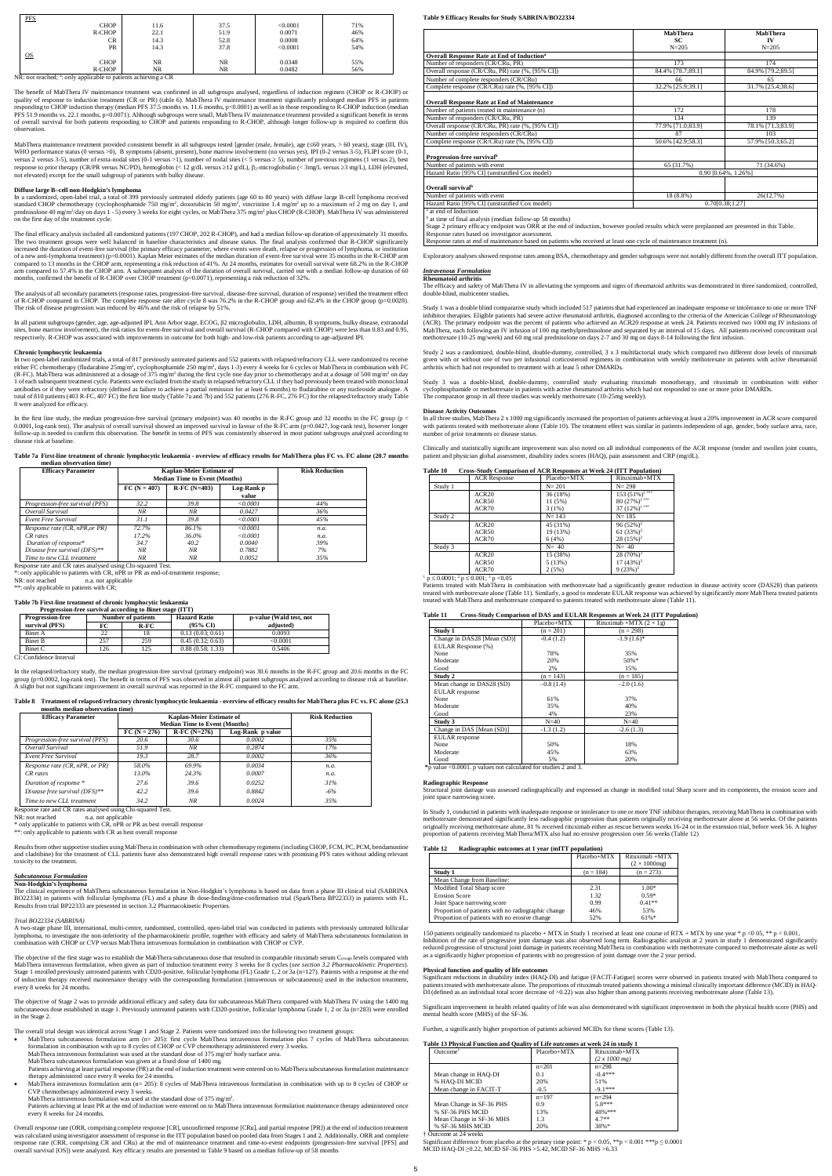| <b>PFS</b>      |                   |           |          |     |
|-----------------|-------------------|-----------|----------|-----|
| <b>CHOP</b>     | 11.6              | 37.5      | < 0.0001 | 71% |
| R-CHOP          | 22.1              | 51.9      | 0.0071   | 46% |
| <b>CR</b>       | 14.3              | 52.8      | 0.0008   | 64% |
|                 | <b>PR</b><br>14.3 | 37.8      | < 0.0001 | 54% |
| $\overline{OS}$ |                   |           |          |     |
| <b>CHOP</b>     | NR.               | NR.       | 0.0348   | 55% |
| R-CHOP          | NR.               | <b>NR</b> | 0.0482   | 56% |

NR: not reached; <sup>a</sup>: only applicable to patients achieving a CR

The benefit of MabThera IV maintenance treatment was confirmed in all subgroups analysed, regardless of induction regimen (CHOP or R-CHOP) or quality of response to induction treatment (CR or PR) (table 6). MabThera IV maintenance treatment significantly prolonged median PFS in patients<br>responding to CHOP induction therapy (median PFS 37.5 months vs. 11.6 months PFS 51.9 months vs. 22.1 months, p=0.0071). Although subgroups were small, MabThera IV maintenance treatment provided a significant benefit in terms of overall survival for both patients responding to CHOP and patients responding to R-CHOP, although longer follow-up is required to confirm this observation.

MabThera maintenance treatment provided consistent benefit in all subgroups tested [gender (male, female), age ( $\leq 60$  years),  $\leq 60$  years), stage (III, IV), WHO performance status (0 versus >0), B symptoms (absent, present), bone marrow involvement (no versus yes), IPI (0-2 versus 3-5), FLIPI score (0-1, versus 2 versus 3-5), number of extra-nodal sites (0-1 versus >1), number of nodal sites (< 5 versus ≥ 5), number of previous regimens (1 versus 2), best response to prior therapy (CR/PR versus NC/PD), hemoglobin (< 12 g/dL versus ≥12 g/dL), β2-microglobulin (< 3mg/L versus ≥3 mg/L), LDH (elevated,<br>not elevated) except for the small subgroup of patients with bulky disease.

In a randomized, open-label trial, a total of 399 previously untreated elderly patients (age 60 to 80 years) with diffuse large B-cell lymphoma received<br>standard CHOP chemotherapy (cyclophosphamide 750 mg/m<sup>2</sup>, doxorubicin prednisolone 40 mg/m<sup>2</sup>/day on days 1 - 5) every 3 weeks for eight cycles, or MabThera 375 mg/m<sup>2</sup> plus CHOP (R-CHOP). MabThera IV was administered on the first day of the treatment cycle.

### **Diffuse large B–cell non-Hodgkin's lymphoma**

The final efficacy analysis included all randomized patients (197 CHOP, 202 R-CHOP), and had a median follow-up duration of approximately 31 months. The two treatment groups were well balanced in baseline characteristics and disease status. The final analysis confirmed that R-CHOP significantly increased the duration of event-free survival (the primary efficacy parameter, where events were death, relapse or progression of lymphoma, or institution of a new anti-lymphoma treatment) (p=0.0001). Kaplan Meier estimates of the median duration of event-free survival were 35 months in the R-CHOP arm compared to 13 months in the CHOP arm, representing a risk reduction of 41%. At 24 months, estimates for overall survival were 68.2% in the R-CHOP arm compared to 57.4% in the CHOP arm. A subsequent analysis of the duration of overall survival, carried out with a median follow-up duration of 60 months, confirmed the benefit of R-CHOP over CHOP treatment (p=0.0071), representing a risk reduction of 32%.

In the first line study, the median progression-free survival (primary endpoint) was 40 months in the R-FC group and 32 months in the FC group (p  $\lt$ 0.0001, log-rank test). The analysis of overall survival showed an improved survival in favour of the R-FC arm (p=0.0427, log-rank test), however longer<br>follow-up is needed to confirm this observation. The benefit in terms disease risk at baseline.

\*: only applicable to patients with CR, nPR or PR as end-of-treatment response; n.a. not applicable

\*\*: only applicable to patients with CR:

The analysis of all secondary parameters (response rates, progression-free survival, disease-free survival, duration of response) verified the treatment effect of R-CHOP compared to CHOP. The complete response rate after cycle 8 was 76.2% in the R-CHOP group and 62.4% in the CHOP group (p=0.0028). The risk of disease progression was reduced by 46% and the risk of relapse by 51%.

In all patient subgroups (gender, age, age-adjusted IPI, Ann Arbor stage, ECOG, β2 microglobulin, LDH, albumin, B symptoms, bulky disease, extranodal sites, bone marrow involvement), the risk ratios for event-free survival and overall survival (R-CHOP compared with CHOP) were less than 0.83 and 0.95, respectively. R-CHOP was associated with improvements in outcome for both high- and low-risk patients according to age-adjusted IPI.

NR: not reached n.a. not applicable \* only applicable to patients with CR, nPR or PR as best overall response \*\*: only applicable to patients with CR as best overall response

### **Chronic lymphocytic leukaemia**

In two open-label randomized trials, a total of 817 previously untreated patients and 552 patients with relapsed/refractory CLL were randomized to receive either FC chemotherapy (fludarabine 25mg/m<sup>2</sup>, cyclophosphamide 250 mg/m<sup>2</sup>, days 1-3) every 4 weeks for 6 cycles or MabThera in combination with FC (R-FC). MabThera was administered at a dosage of 375 mg/m<sup>2</sup> during the first cycle one day prior to chemotherapy and at a dosage of 500 mg/m<sup>2</sup> on day<br>1 of each subsequent treatment cycle. Patients were excluded from the total of 810 patients (403 R-FC, 407 FC) the first line study (Table 7a and 7b) and 552 patients (276 R-FC, 276 FC) for the relapsed/refractory study Table 8 were analyzed for efficacy.

The objective of the first stage was to establish the MabThera subcutaneous dose that resulted in comparable rituximab serum Ctrough levels compared with MabThera intravenous formulation, when given as part of induction treatment every 3 weeks for 8 cycles (see section 3.2 Pharmacokinetic Properties).<br>Stage 1 enrolled previously untreated patients with CD20-positive, follic of induction therapy received maintenance therapy with the corresponding formulation (intravenous or subcutaneous) used in the induction treatment, every 8 weeks for 24 months.

| Table 7a First-line treatment of chronic lymphocytic leukaemia - overview of efficacy results for MabThera plus FC vs. FC alone (20.7 months |  |
|----------------------------------------------------------------------------------------------------------------------------------------------|--|
|----------------------------------------------------------------------------------------------------------------------------------------------|--|

MabThera intravenous formulation was used at the standard dose of 375 mg/m<sup>2</sup> .

| <b>Efficacy Parameter</b>       |                | <b>Kaplan-Meier Estimate of</b><br><b>Median Time to Event (Months)</b> | <b>Risk Reduction</b> |      |
|---------------------------------|----------------|-------------------------------------------------------------------------|-----------------------|------|
|                                 | $FC (N = 407)$ | $R-FC (N=403)$                                                          | Log-Rank p<br>value   |      |
| Progression-free survival (PFS) | 32.2           | 39.8                                                                    | < 0.0001              | 44%  |
| Overall Survival                | NR             | NR                                                                      | 0.0427                | 36%  |
| Event Free Survival             | 31.I           | 39.8                                                                    | < 0.0001              | 45%  |
| Response rate (CR, nPR, or PR)  | 72.7%          | 86.1%                                                                   | < 0.0001              | n.a. |
| CR rates                        | 17.2%          | 36.0%                                                                   | < 0.0001              | n.a. |
| Duration of response*           | 34.7           | 40.2                                                                    | 0.0040                | 39%  |
| Disease free survival (DFS)**   | NR             | NR.                                                                     | 0.7882                | 7%   |
| Time to new CLL treatment       | NR             | NR.                                                                     | 0.0052                | 35%  |

Overall response rate (ORR, comprising complete response [CR], unconfirmed response [CRu], and partial response [PR]) at the end of induction treatment<br>was calculated using investigator assessment of response in the ITT po response rate (CRR, comprising CR and CRu) at the end of maintenance treatment and time-to-event endpoints (progression-free survival [PFS] and overall survival [OS]) were analyzed. Key efficacy results are presented in Table 9 based on a median follow-up of 58 months

Response rate and CR rates analysed using Chi-squared Test.

## **Table 7b First-line treatment of chronic lymphocytic leukaemia Progression-free survival according to Binet stage (ITT)**

| The community our vival according to Dince Stage (TTT) |                           |      |                     |                         |  |  |  |  |
|--------------------------------------------------------|---------------------------|------|---------------------|-------------------------|--|--|--|--|
| <b>Progression-free</b>                                | <b>Number of patients</b> |      | <b>Hazard Ratio</b> | p-value (Wald test, not |  |  |  |  |
| survival (PFS)                                         | FС                        | R-FC | $(95\%$ CD          | adiusted)               |  |  |  |  |
| <b>Binet A</b>                                         |                           |      | 0.13(0.03; 0.61)    | 0.0093                  |  |  |  |  |
| <b>Binet B</b>                                         | 257                       | 259  | 0.45(0.32; 0.63)    | < 0.0001                |  |  |  |  |
| Binet C                                                | 126                       | 25   | 0.88(0.58; 1.33)    | 0.5406                  |  |  |  |  |

CI: Confidence Interval

In the relapsed/refractory study, the median progression-free survival (primary endpoint) was 30.6 months in the R-FC group and 20.6 months in the FC group (p=0.0002, log-rank test). The benefit in terms of PFS was observed in almost all patient subgroups analyzed according to disease risk at baseline. A slight but not significant improvement in overall survival was reported in the R-FC compared to the FC arm.

### **Table 8 Treatment of relapsed/refractory chronic lymphocytic leukaemia - overview of efficacy results for MabThera plus FC vs. FC alone (25.3 months median observation time)**

| <b>Efficacy Parameter</b>              | <b>Kaplan-Meier Estimate of</b> |                                      |                  | <b>Risk Reduction</b> |
|----------------------------------------|---------------------------------|--------------------------------------|------------------|-----------------------|
|                                        |                                 | <b>Median Time to Event (Months)</b> |                  |                       |
|                                        | $FC (N = 276)$                  | $R$ -FC (N=276)                      | Log-Rank p value |                       |
| <i>Progression-free survival (PFS)</i> | 20.6                            | 30.6                                 | 0.0002           | 35%                   |
| Overall Survival                       | 51.9                            | NR                                   | 0.2874           | 17%                   |
| Event Free Survival                    | 19.3                            | 28.7                                 | 0.0002           | 36%                   |
| Response rate (CR, nPR, or PR)         | 58.0%                           | 69.9%                                | 0.0034           | n.a.                  |
| CR rates                               | 13.0%                           | 24.3%                                | 0.0007           | n.a.                  |
| Duration of response *                 | 27.6                            | 39.6                                 | 0.0252           | 31%                   |
| Disease free survival (DFS)**          | 42.2                            | 39.6                                 | 0.8842           | $-6%$                 |
| Time to new CLL treatment              | 34.2                            | NR                                   | 0.0024           | 35%                   |

Response rate and CR rates analysed using Chi-squared Test.<br>NR: not reached n.a. not applicable

Results from other supportive studies using MabThera in combination with other chemotherapy regimens (including CHOP, FCM, PC, PCM, bendamustine and cladribine) for the treatment of CLL patients have also demonstrated high overall response rates with promising PFS rates without adding relevant toxicity to the treatment.

### *Subcutaneous Formulation*

**Non-Hodgkin's lymphoma** ous formulation in Non-Hodgkin's lymphoma is based on data from a phase III clinical trial (SABRINA BO22334) in patients with follicular lymphoma (FL) and a phase Ib dose-finding/dose-confirmation trial (SparkThera BP22333) in patients with FL. Results from trial BP22333 are presented in section 3.2 Pharmacokinetic Properties.

### *Trial BO22334 (SABRINA)*

A two-stage phase III, international, multi-centre, randomised, controlled, open-label trial was conducted in patients with previously untreated follicular lymphoma, to investigate the non-inferiority of the pharmacokinetic profile, together with efficacy and safety of MabThera subcutaneous formulation in combination with CHOP or CVP versus MabThera intravenous formulation in combination with CHOP or CVP.

> Significant reductions in disability index (HAQ-DI) and fatigue (FACIT-Fatigue) scores were observed in patients treated with MabThera compared to patients treated with methotrexate alone. The proportions of rituximab treated patients showing a minimal clinically important difference (MCID) in HAQ-<br>DI (defined as an individual total score decrease of >0.22) was also

The objective of Stage 2 was to provide additional efficacy and safety data for subcutaneous MabThera compared with MabThera IV using the 1400 mg subcutaneous dose established in stage 1. Previously untreated patients with CD20-positive, follicular lymphoma Grade 1, 2 or 3a (n=283) were enrolled in the Stage 2.

> Significant difference from placebo at the primary time point: \*  $p < 0.05$ , \*\*p $< 0.001$  \*\*\*p $\leq 0.0001$ MCID HAQ-DI ≥0.22, MCID SF-36 PHS >5.42, MCID SF-36 MHS >6.33

The overall trial design was identical across Stage 1 and Stage 2. Patients were randomized into the following two treatment groups:

- MabThera subcutaneous formulation arm (n= 205): first cycle MabThera intravenous formulation plus 7 cycles of MabThera subcutaneous formulation in combination with up to 8 cycles of CHOP or CVP chemotherapy administered
- MabThera intravenous formulation was used at the standard dose of 375 mg/m<sup>2</sup> body surface area.

MabThera subcutaneous formulation was given at a fixed dose of 1400 mg.

Patients achieving at least partial response (PR) at the end of induction treatment were entered on to MabThera subcutaneous formulation maintenance therapy administered once every 8 weeks for 24 months.

· MabThera intravenous formulation arm (n= 205): 8 cycles of MabThera intravenous formulation in combination with up to 8 cycles of CHOP or CVP chemotherapy administered every 3 weeks.

Patients achieving at least PR at the end of induction were entered on to MabThera intravenous formulation maintenance therapy administered once every 8 weeks for 24 months.

### **Table 9 Efficacy Results for Study SABRINA/BO22334**

|                                                               | MabThera          | <b>MabThera</b>     |
|---------------------------------------------------------------|-------------------|---------------------|
|                                                               | SC                | IV                  |
|                                                               | $N = 205$         | $N = 205$           |
| <b>Overall Response Rate at End of Induction</b> <sup>a</sup> |                   |                     |
| Number of responders (CR/CRu, PR)                             | 173               | 174                 |
| Overall response (CR/CRu, PR) rate (%, [95% CI])              | 84.4% [78.7;89.1] | 84.9% [79.2;89.5]   |
| Number of complete responders (CR/CRu)                        | 66                | 65                  |
| Complete response (CR/CRu) rate (%, [95% CI])                 | 32.2% [25.9;39.1] | 31.7% [25.4;38.6]   |
|                                                               |                   |                     |
| <b>Overall Response Rate at End of Maintenance</b>            |                   |                     |
| Number of patients treated in maintenance (n)                 | 172               | 178                 |
| Number of responders (CR/CRu, PR)                             | 134               | 139                 |
| Overall response (CR/CRu, PR) rate (%, [95% CI])              | 77.9% [71.0;83.9] | 78.1% [71.3;83.9]   |
| Number of complete responders (CR/CRu)                        | 87                | 103                 |
| Complete response (CR/CRu) rate (%, [95% CI])                 | 50.6% [42.9;58.3] | 57.9% [50.3;65.2]   |
|                                                               |                   |                     |
| Progression-free survival <sup>b</sup>                        |                   |                     |
| Number of patients with event                                 | 65 (31.7%)        | 71 (34.6%)          |
| Hazard Ratio [95% CI] (unstratified Cox model)                |                   | 0.90 [0.64%, 1.26%] |
|                                                               |                   |                     |
| Overall survival <sup>b</sup>                                 |                   |                     |
| Number of patients with event                                 | 18 (8.8%)         | 26(12.7%)           |
| Hazard Ratio [95% CI] (unstratified Cox model)                |                   | 0.7010.38:1.271     |

b

a at end of Induction at time of final analysis (median follow-up 58 months)

Stage 2 primary efficacy endpoint was ORR at the end of induction, however pooled results which were preplanned are presented in this Table. Response rates based on investigator assessment.

esponse rates at end of maintenance based on patients who received at least one cycle of maintenance treatment (n).

Exploratory analyses showed response rates among BSA, chemotherapy and gender subgroups were not notably different from the overall ITT population.

### *Intravenous Formulation* **Rheumatoid arthritis**

The efficacy and safety of MabThera IV in alleviating the symptoms and signs of rheumatoid arthritis was demonstrated in three randomized, controlled, double-blind, multicenter studies.

Study 1 was a double blind comparative study which included 517 patients that had experienced an inadequate response or intolerance to one or more TNF inhibitor therapies. Eligible patients had severe active rheumatoid arthritis, diagnosed according to the criteria of the American College of Rheumatology<br>(ACR). The primary endpoint was the percent of patients who achieve MabThera, each following an IV infusion of 100 mg methylprednisolone and separated by an interval of 15 days. All patients received concomitant oral methotrexate (10-25 mg/week) and 60 mg oral prednisolone on days 2-7 and 30 mg on days 8-14 following the first infusion.

Study 2 was a randomized, double-blind, double-dummy, controlled, 3 x 3 multifactorial study which compared two different dose levels of rituximab given with or without one of two per infusional corticosteroid regimens in combination with weekly methotrexate in patients with active rheumatoid arthritis which had not responded to treatment with at least 5 other DMARDs.

Study 3 was a double-blind, double-dummy, controlled study evaluating rituximab monotherapy, and rituximab in combination with either cyclophosphamide or methotrexate in patients with active rheumatoid arthritis which had not responded to one or more prior DMARDs. The comparator group in all three studies was weekly methotrexate (10-25mg weekly).

### **Disease Activity Outco**

In all three studies, MabThera 2 x 1000 mg significantly increased the proportion of patients achieving at least a 20% improvement in ACR score compared with patients treated with methotrexate alone (Table 10). The treatment effect was similar in patients independent of age, gender, body surface area, race, number of prior treatments or disease status.

Clinically and statistically significant improvement was also noted on all individual components of the ACR response (tender and swollen joint counts,<br>patient and physician global assessment, disability index scores (HAQ),

### **Table 10 Cross-Study Comparison of ACR Responses at Week 24 (ITT Population)**

|         | <b>ACR Response</b> | Placebo+MTX | Rituximab+MTX               |
|---------|---------------------|-------------|-----------------------------|
| Study 1 |                     | $N = 201$   | $N = 298$                   |
|         | ACR <sub>20</sub>   | 36 (18%)    | $153(51\sqrt[9]{6})^{1***}$ |
|         | ACR <sub>50</sub>   | 11(5%)      | 80 $(27%)$ <sup>1***</sup>  |
|         | ACR70               | 3(1%)       | 37 $(12\%)$ <sup>1***</sup> |
| Study 2 |                     | $N = 143$   | $N = 185$                   |
|         | ACR <sub>20</sub>   | 45 (31%)    | $96(52\%)^2$                |
|         | ACR <sub>50</sub>   | 19 (13%)    | 61 $(33%)^2$                |
|         | ACR70               | 6(4%)       | $28(15%)^2$                 |
| Study 3 |                     | $N = 40$    | $N=40$                      |
|         | ACR <sub>20</sub>   | 15 (38%)    | $28(70\%)^3$                |
|         | ACR <sub>50</sub>   | 5(13%)      | $17(43\%)^3$                |
|         | ACR70               | 2(5%)       | $9(23%)^3$                  |

 $1 p \le 0.0001$ ;  $2 p \le 0.001$ ;  $3 p < 0.05$ 

Patients treated with MabThera in combination with methotrexate had a significantly greater reduction in disease activity score (DAS28) than patients treated with methotrexate alone (Table 11). Similarly, a good to moderate EULAR response was achieved by significantly more MabThera treated patients treated with MabThera and methotrexate compared to patients treated with methotrexate alone (Table 11).

### **Table 11 Cross-Study Comparison of DAS and EULAR Responses at Week 24 (ITT Population)**

|                             | Placebo+MTX | Rituximab +MTX $(2 \times 1g)$ |
|-----------------------------|-------------|--------------------------------|
| Study 1                     | $(n = 201)$ | $(n = 298)$                    |
| Change in DAS28 [Mean (SD)] | $-0.4(1.2)$ | $-1.9(1.6)*$                   |
| EULAR Response (%)          |             |                                |
| None                        | 78%         | 35%                            |
| Moderate                    | 20%         | $50%$ *                        |
| Good                        | 2%          | 15%                            |
| Study 2                     | $(n = 143)$ | $(n = 185)$                    |
| Mean change in DAS28 (SD)   | $-0.8(1.4)$ | $-2.0(1.6)$                    |
| <b>EULAR</b> response       |             |                                |
| None                        | 61%         | 37%                            |
| Moderate                    | 35%         | 40%                            |
| Good                        | 4%          | 23%                            |
| Study 3                     | $N = 40$    | $N=40$                         |
| Change in DAS [Mean (SD)]   | $-1.3(1.2)$ | $-2.6(1.3)$                    |
| <b>EULAR</b> response       |             |                                |
| None                        | 50%         | 18%                            |
| Moderate                    | 45%         | 63%                            |
| Good                        | 5%          | 20%                            |

 **\***p value <0.0001. p values not calculated for studies 2 and 3.

### **Radiographic Response**

Structural joint damage was assessed radiographically and expressed as change in modified total Sharp score and its components, the erosion score and joint space narrowing score.

In Study 1, conducted in patients with inadequate response or intolerance to one or more TNF inhibitor therapies, receiving MabThera in combination with methotrexate demonstrated significantly less radiographic progression than patients originally receiving methotrexate alone at 56 weeks. Of the patients<br>originally receiving methotrexate alone, 81 % received rituximab eith proportion of patients receiving MabThera/MTX also had no erosive progression over 56 weeks (Table 12)

### **Table 12 Radiographic outcomes at 1 year (mITT population)**

|                                                    | Placebo+MTX | Rituximab +MTX       |
|----------------------------------------------------|-------------|----------------------|
|                                                    |             | $(2 \times 1000$ mg) |
| Study 1                                            | $(n = 184)$ | $(n = 273)$          |
| Mean Change from Baseline:                         |             |                      |
| Modified Total Sharp score                         | 2.31        | $1.00*$              |
| <b>Erosion Score</b>                               | 1.32        | $0.59*$              |
| Joint Space narrowing score                        | 0.99        | $0.41**$             |
| Proportion of patients with no radiographic change | 46%         | 53%                  |
| Proportion of patients with no erosive change      | 52%         | 61%                  |

150 patients originally randomized to placebo + MTX in Study 1 received at least one course of RTX + MTX by one year \* p <0 05, \*\* p < 0.001, Inhibition of the rate of progressive joint damage was also observed long term. Radiographic analysis at 2 years in study 1 demonstrated significantly reduced progression of structural joint damage in patients receiving MabThera in combination with methotrexate compared to methotrexate alone as well as a significantly higher proportion of patients with no progression of joint damage over the 2 year period.

### **Physical function and quality of life outcomes**

Significant improvement in health related quality of life was also demonstrated with significant improvement in both the physical health score (PHS) and mental health score (MHS) of the SF-36.

Further, a significantly higher proportion of patients achieved MCIDs for these scores (Table 13).

### **Table 13 Physical Function and Quality of Life outcomes at week 24 in study 1**

| Outcome <sup><math>\dagger</math></sup> | Placebo+MTX | Rituximab+MTX |
|-----------------------------------------|-------------|---------------|
|                                         |             | (2 x 1000 mg) |
|                                         | $n=201$     | $n = 298$     |
| Mean change in HAQ-DI                   | 0.1         | $-0.4***$     |
| % HAO-DI MCID                           | 20%         | 51%           |
| Mean change in FACIT-T                  | $-0.5$      | $-9.1***$     |
|                                         | $n=197$     | $n = 294$     |
| Mean Change in SF-36 PHS                | 0.9         | $5.8***$      |
| % SF-36 PHS MCID                        | 13%         | 48%***        |
| Mean Change in SF-36 MHS                | 1.3         | $47**$        |
| % SF-36 MHS MCID                        | 20%         | 38%*          |

### † Outcome at 24 weeks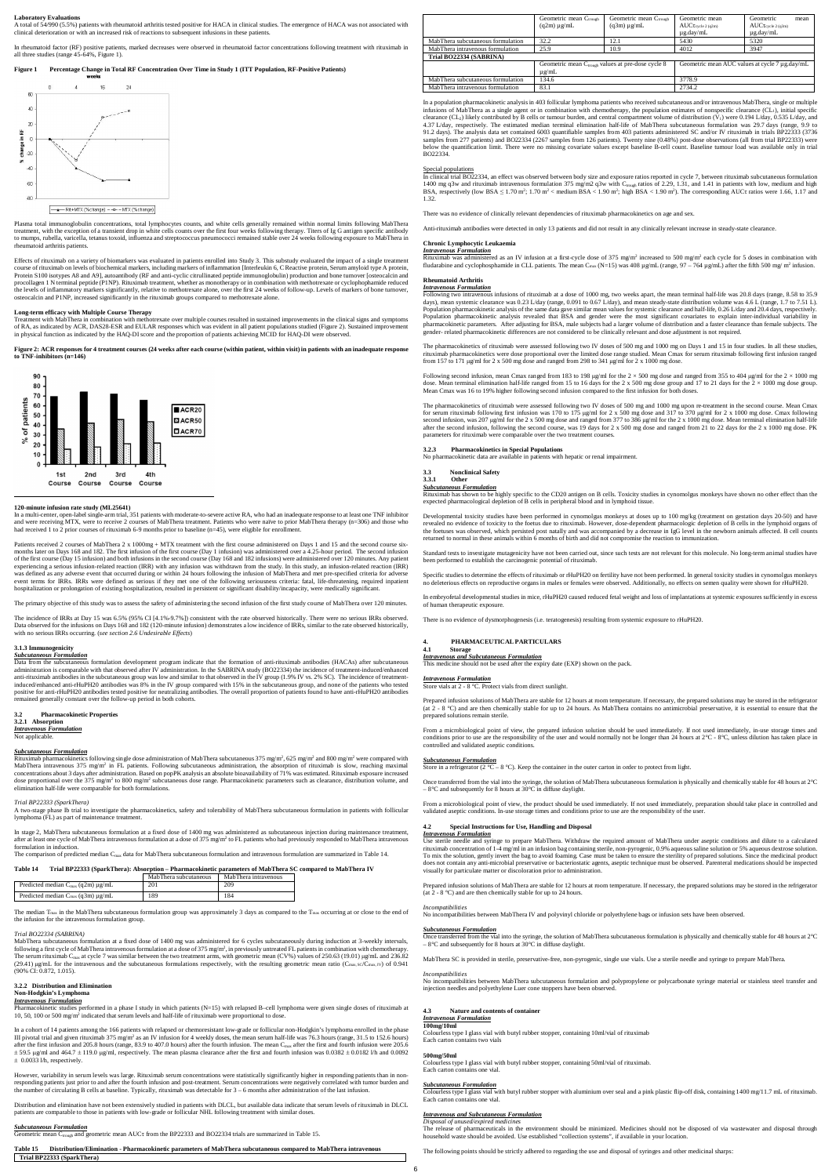### **Laboratory Evaluations**

A total of 54/990 (5.5%) patients with rheumatoid arthritis tested positive for HACA in clinical studies. The emergence of HACA was not associated with clinical deterioration or with an increased risk of reactions to subsequent infusions in these patients.

In rheumatoid factor (RF) positive patients, marked decreases were observed in rheumatoid factor concentrations following treatment with rituximab in all three studies (range 45-64%, Figure 1).

### **Figure 1 Percentage Change in Total RF Concentration Over Time in Study 1 (ITT Population, RF-Positive Patients)**



Plasma total immunoglobulin concentrations, total lymphocytes counts, and white cells generally remained within normal limits following MabThera treatment, with the exception of a transient drop in white cells counts over the first four weeks following therapy. Titers of Ig G antigen specific antibody to mumps, rubella, varicella, tetanus toxoid, influenza and streptococcus pneumococci remained stable over 24 weeks following exposure to MabThera in rheumatoid arthritis patients.

Treatment with MabThera in combination with methotrexate over multiple courses resulted in sustained improvements in the clinical signs and symptoms of RA, as indicated by ACR, DAS28-ESR and EULAR responses which was evident in all patient populations studied (Figure 2). Sustained improvement<br>in physical function as indicated by the HAQ-DI score and the proportion of p

In a multi-center, open-label single-arm trial, 351 patients with moderate-to-severe active RA, who had an inadequate response to at least one TNF inhibitor and were receiving MTX, were to receive 2 courses of MabThera treatment. Patients who were naïve to prior MabThera therapy (n=306) and those who had received 1 to 2 prior courses of rituximab 6-9 months prior to baseline (n=45), were eligible for enrollment.

Effects of rituximab on a variety of biomarkers was evaluated in patients enrolled into Study 3. This substudy evaluated the impact of a single treatment course of rituximab on levels of biochemical markers, including markers of inflammation [Interleukin 6, C Reactive protein, Serum amyloid type A protein,<br>Protein S100 isotypes A8 and A9], autoantibody (RF and anti-cyclic c procollagen 1 N terminal peptide (P1NP). Rituximab treatment, whether as monotherapy or in combination with methotrexate or cyclophophamide reduced the levels of inflammatory markers significantly, relative to methotrexate alone, over the first 24 weeks of follow-up. Levels of markers of bone turnover, osteocalcin and P1NP, increased significantly in the rituximab groups compared to methotrexate alone.

### **Long-term efficacy with Multiple Course Therapy**

**Figure 2: ACR responses for 4 treatment courses (24 weeks after each course (within patient, within visit) in patients with an inadequate response to TNF-inhibitors (n=146)**



### **120-minute infusion rate study (ML25641)**

 $\bm{Subcutaneous Formula}$   $\bm{Formula}$  on increases administration of MabThera subcutaneous 375 mg/m², 625 mg/m² and 800 mg/m² were compared with MabThera intravenous 375 mg/m² in FL patients. Following subcutaneous administration, the absorption of rituximab is slow, reaching maximal<br>concentrations about 3 days after administration. Based on popPK analysis an absol dose proportional over the 375 mg/m<sup>2</sup> to 800 mg/m<sup>2</sup> subcutaneous dose range. Pharmacokinetic parameters such as clearance, distribution volume, and elimination half-life were comparable for both formulations.

Patients received 2 courses of MabThera 2 x 1000mg + MTX treatment with the first course administered on Days 1 and 15 and the second course sixmonths later on Days 168 and 182. The first infusion of the first course (Day 1 infusion) was administered over a 4.25-hour period. The second infusion of the first course (Day 15 infusion) and both infusions in the second course (Day 168 and 182 infusions) were administered over 120 minutes. Any patient experiencing a serious infusion-related reaction (IRR) with any infusion was withdrawn from the study. In this study, an infusion-related reaction (IRR) was defined as any adverse event that occurred during or within 24 hours following the infusion of MabThera and met pre-specified criteria for adverse event terms for IRRs. IRRs were defined as serious if they met one of the following seriousness criteria: fatal, life-threatening, required inpatient hospitalization or prolongation of existing hospitalization, resulted in persistent or significant disability/incapacity, were medically significant.

The median T<sub>max</sub> in the MabThera subcutaneous formulation group was approximately 3 days as compared to the T<sub>max</sub> occurring at or close to the end of the infusion for the intravenous formulation group.

MabThera subcutaneous formulation at a fixed dose of 1400 mg was administered for 6 cycles subcutaneously during induction at 3-weekly intervals, following a first cycle of MabThera intravenous formulation at a dose of 375 mg/m<sup>2</sup>, in previously untreated FL patients in combination with chemotherapy.<br>The serum rituximab C<sub>max</sub> at cycle 7 was similar between the two (29.41) μg/mL for the intravenous and the subcutaneous formulations respectively, with the resulting geometric mean ratio (C<sub>max, SC</sub>/C<sub>max, IV</sub>) of 0.941  $(90\% \text{ CI} \cdot 0.872, 1.015)$ 

The primary objective of this study was to assess the safety of administering the second infusion of the first study course of MabThera over 120 minutes.

The incidence of IRRs at Day 15 was 6.5% (95% CI [4.1%-9.7%]) consistent with the rate observed historically. There were no serious IRRs observed. Data observed for the infusions on Days 168 and 182 (120-minute infusion) demonstrates a low incidence of IRRs, similar to the rate observed historically, with no serious IRRs occurring. (*see section 2.6 Undesirable Effects*)

However, variability in serum levels was large. Rituximab serum concentrations were statistically significantly higher in responding patients than in nonresponding patients just prior to and after the fourth infusion and post-treatment. Serum concentrations were negatively correlated with tumor burden and the number of circulating B cells at baseline. Typically, rituximab was detectable for  $3 - 6$  months after administration of the last infusion

### **3.1.3 Immunogenicity** *Subcutaneous Formulation*

Data from the subcutaneous formulation development program indicate that the formation of anti-rituximab antibodies (HACAs) after subcutaneous<br>administration is comparable with that observed after IV administration. In the anti-rituximab antibodies in the subcutaneous group was low and similar to that observed in the IV group (1.9% IV vs. 2% SC). The incidence of treatmentinduced/enhanced anti-rHuPH20 antibodies was 8% in the IV group compared with 15% in the subcutaneous group, and none of the patients who tested positive for anti-rHuPH20 antibodies tested positive for neutralizing antibodies. The overall proportion of patients found to have anti-rHuPH20 antibodies<br>remained generally constant over the follow-up period in both cohor

### **3.2 Pharmacokinetic Properties 3.2.1 Absorption** *Intravenous Formulation*

Not applicable.

### *Trial BP22333 (SparkThera)*

A two-stage phase Ib trial to investigate the pharmacokinetics, safety and tolerability of MabThera subcutaneous formulation in patients with follicular lymphoma (FL) as part of maintenance treatment.

In stage 2, MabThera subcutaneous formulation at a fixed dose of 1400 mg was administered as subcutaneous injection during maintenance treatment, after at least one cycle of MabThera intravenous formulation at a dose of 375 mg/m<sup>2</sup> to FL patients who had previously responded to MabThera intravenous formulation in induction.

The pharmacokinetics of rituximab were assessed following two IV doses of 500 mg and 1000 mg on Days 1 and 15 in four studies. In all these studies, rituximab pharmacokinetics were dose proportional over the limited dose range studied. Mean Cmax for serum rituximab following first infusion ranged<br>from 157 to 171 µg/ml for 2 x 500 mg dose and ranged from 298 to 341 µg/m

The comparison of predicted median Cmax data for MabThera subcutaneous formulation and intravenous formulation are summarized in Table 14.

Table 14 Trial BP22333 (SparkThera): Absorption – Pharmacokinetic parameters of MabThera SC compared to MabThera IV<br>MabThera subcutaneous MabThera intravenous

|                                                    | Mab Thera subcutaneous | Mab Thera intravenous |
|----------------------------------------------------|------------------------|-----------------------|
| Predicted median $C_{\text{max}}$ (q2m) $\mu$ g/mL | 201                    | 209                   |

| Predicted median $C_{\text{max}}$ (q3m) $\mu$ g/mL | 189 |  |
|----------------------------------------------------|-----|--|

### *Trial BO22334 (SABRINA)*

The pharmacokinetics of rituximab were assessed following two IV doses of 500 mg and 1000 mg upon re-treatment in the second course. Mean Cmax<br>for serum rituximab following first infusion was 170 to 175 µg/ml for 2 x 500 m second infusion, was 207 μg/ml for the 2 x 500 mg dose and ranged from 377 to 386 μg/ml for the 2 x 1000 mg dose. Mean terminal elimination half-life after the second infusion, following the second course, was 19 days for 2 x 500 mg dose and ranged from 21 to 22 days for the 2 x 1000 mg dose. PK parameters for rituximab were comparable over the two treatment courses.

Developmental toxicity studies have been performed in cynomolgus monkeys at doses up to 100 mg/kg (treatment on gestation days 20-50) and have revealed no evidence of toxicity to the foetus due to rituximab. However, dose-dependent pharmacologic depletion of B cells in the lymphoid organs of the foetuses was observed, which persisted post natally and was accompanied by a decrease in IgG level in the newborn animals affected. B cell counts returned to normal in these animals within 6 months of birth and did not compromise the reaction to immunization

### **3.2.2 Distribution and Elimination**

### **Non-Hodgkin's Lymphoma**

### *Intravenous Formulation*

Pharmacokinetic studies performed in a phase I study in which patients (N=15) with relapsed B–cell lymphoma were given single doses of rituximab at 10, 50, 100 or 500 mg/m<sup>2</sup> indicated that serum levels and half-life of rituximab were proportional to dose.

In a cohort of 14 patients among the 166 patients with relapsed or chemoresistant low-grade or follicular non-Hodgkin's lymphoma enrolled in the phase III pivotal trial and given rituximab 375 mg/m<sup>2</sup> as an IV infusion for 4 weekly doses, the mean serum half-life was 76.3 hours (range, 31.5 to 152.6 hours) after the first infusion and 205.8 hours (range, 83.9 to 407.0 hours) after the fourth infusion. The mean C<sub>max</sub> after the first and fourth infusion were 205.6  $\pm$  59.5 µg/ml and 464.7  $\pm$  119.0 µg/ml, respectively. The mean plasma clearance after the first and fourth infusion was 0.0382  $\pm$  0.0182 l/h and 0.0092 ± 0.0033 l/h, respectively.

Prepared infusion solutions of MabThera are stable for 12 hours at room temperature. If necessary, the prepared solutions may be stored in the refrigerator<br>(at  $2 \cdot 8$  °C) and are then chemically stable for up to 24 hours prepared solutions remain sterile.

Distribution and elimination have not been extensively studied in patients with DLCL, but available data indicate that serum levels of rituximab in DLCL patients are comparable to those in patients with low-grade or follicular NHL following treatment with similar doses.

### *Subcutaneous Formulation*

**CONDUCTERT CHOOGET CONDUCTERT CONDUCT** from the BP22333 and BO22334 trials are summarized in Table 15.

**Table 15 Distribution/Elimination - Pharmacokinetic parameters of MabThera subcutaneous compared to MabThera intravenous Trial BP22333 (SparkThera)**

|                                   | Geometric mean Ctrough<br>$(q2m) \mu g/mL$                      | Geometric mean Ctrough<br>$(q3m) \mu g/mL$ | Geometric mean<br>$\mathrm{AUC}\tau_{\mathrm{cycle}\,2\,(q2m)}$<br>$\mu$ g.day/mL | Geometric<br>mean<br>$AUC\tau_{\rm cycle\,2\,(q3m)}$<br>$\mu$ g.day/mL |
|-----------------------------------|-----------------------------------------------------------------|--------------------------------------------|-----------------------------------------------------------------------------------|------------------------------------------------------------------------|
|                                   |                                                                 |                                            |                                                                                   |                                                                        |
| MabThera subcutaneous formulation | 32.2                                                            | 12.1                                       | 5430                                                                              | 5320                                                                   |
| MabThera intravenous formulation  | 25.9                                                            | 10.9                                       | 4012                                                                              | 3947                                                                   |
| Trial BO22334 (SABRINA)           |                                                                 |                                            |                                                                                   |                                                                        |
|                                   | Geometric mean Ctrough values at pre-dose cycle 8<br>$\mu$ g/mL |                                            |                                                                                   | Geometric mean AUC values at cycle 7 µg.day/mL                         |
| MabThera subcutaneous formulation | 134.6                                                           |                                            | 3778.9                                                                            |                                                                        |
| MabThera intravenous formulation  | 83.1                                                            |                                            | 2734.2                                                                            |                                                                        |

In a population pharmacokinetic analysis in 403 follicular lymphoma patients who received subcutaneous and/or intravenous MabThera, single or multiple infusions of MabThera as a single agent or in combination with chemotherapy, the population estimates of nonspecific clearance  $(CL<sub>1</sub>)$ , initial specific clearance (CL2) likely contributed by B cells or tumour burden, and central compartment volume of distribution (V1) were 0.194 L/day, 0.535 L/day, and<br>4.37 L/day, respectively. The estimated median terminal elimination hal 91.2 days). The analysis data set contained 6003 quantifiable samples from 403 patients administered SC and/or IV rituximab in trials BP22333 (3736<br>samples from 277 patients) and BO22334 (2267 samples from 126 patients). T below the quantification limit. There were no missing covariate values except baseline B-cell count. Baseline tumour load was available only in trial BO22334.

### Special populations

In clinical trial BO22334, an effect was observed between body size and exposure ratios reported in cycle 7, between rituximab subcutaneous formulation<br>1400 mg q3w and rituximab intravenous formulation 375 mg/m2 q3w with C BSA, respectively (low BSA  $\leq$  1.70 m<sup>2</sup>; 1.70 m<sup>2</sup> < medium BSA < 1.90 m<sup>2</sup>; high BSA < 1.90 m<sup>2</sup>). The corresponding AUCt ratios were 1.66, 1.17 and 1.32.

There was no evidence of clinically relevant dependencies of rituximab pharmacokinetics on age and sex.

Anti-rituximab antibodies were detected in only 13 patients and did not result in any clinically relevant increase in steady-state clearance.

### **Chronic Lymphocytic Leukaemia**

Intravenous Formulation<br>Rituximab was administered as an IV infusion at a first-cycle dose of 375 mg/m<sup>2</sup> increased to 500 mg/m<sup>2</sup> each cycle for 5 doses in combination with fludarabine and cyclophosphamide in CLL patients. The mean C<sub>max</sub> (N=15) was 408  $\mu$ g/mL (range, 97 – 764  $\mu$ g/mL) after the fifth 500 mg/ m<sup>2</sup> infusion.

### **Rheumatoid Arthritis** *Intravenous Formulation*

Following two intravenous infusions of rituximab at a dose of 1000 mg, two weeks apart, the mean terminal half-life was 20.8 days (range, 8.58 to 35.9 days), mean systemic clearance was 0.23 L/day (range, 0.091 to 0.67 L/day), and mean steady-state distribution volume was 4.6 L (range, 1.7 to 7.51 L). Population pharmacokinetic analysis of the same data gave similar mean values for systemic clearance and half-life, 0.26 L/day and 20.4 days, respectively.<br>Population pharmacokinetic analysis revealed that BSA and g pharmacokinetic parameters. After adjusting for BSA, male subjects had a larger volume of distribution and a faster clearance than female subjects. The gender- related pharmacokinetic differences are not considered to be clinically relevant and dose adjustment is not required.

Following second infusion, mean Cmax ranged from 183 to 198 μg/ml for the 2 × 500 mg dose and ranged from 355 to 404 μg/ml for the 2 × 1000 mg dose. Mean terminal elimination half-life ranged from 15 to 16 days for the 2 x 500 mg dose group and 17 to 21 days for the 2 × 1000 mg dose group. Mean Cmax was 16 to 19% higher following second infusion compared to the first infusion for both doses.

## **3.2.3 Pharmacokinetics in Special Populations** No pharmacokinetic data are available in patients with hepatic or renal impairment.

## **3.3 Nonclinical Safety**

### **3.3.1 Other**

*Subcutaneous Formulation* Rituximab has shown to be highly specific to the CD20 antigen on B cells. Toxicity studies in cynomolgus monkeys have shown no other effect than the expected pharmacological depletion of B cells in peripheral blood and in lymphoid tissue.

Standard tests to investigate mutagenicity have not been carried out, since such tests are not relevant for this molecule. No long-term animal studies have been performed to establish the carcinogenic potential of rituximab.

Specific studies to determine the effects of rituximab or rHuPH20 on fertility have not been performed. In general toxicity studies in cynomolgus monkeys no deleterious effects on reproductive organs in males or females were observed. Additionally, no effects on semen quality were shown for rHuPH20.

In embryofetal developmental studies in mice, rHuPH20 caused reduced fetal weight and loss of implantations at systemic exposures sufficiently in excess of human therapeutic exposure.

There is no evidence of dysmorphogenesis (i.e. teratogenesis) resulting from systemic exposure to rHuPH20.

### **4. PHARMACEUTICAL PARTICULARS**

### **4.1 Storage**

*Intravenous and Subcutaneous Formulation* This medicine should not be used after the expiry date (EXP) shown on the pack.

### *Intravenous Formulation*

vials at  $2 - 8$  °C. Protect vials from direct sunlight

From a microbiological point of view, the prepared infusion solution should be used immediately. If not used immediately, in-use storage times and conditions prior to use are the responsibility of the user and would normally not be longer than 24 hours at  $2^{\circ}C - 8^{\circ}C$ , unless dilution has taken place in controlled and validated aseptic conditions.

### *Subcutaneous Formulation*

Store in a refrigerator (2 °C – 8 °C). Keep the container in the outer carton in order to protect from light.

Once transferred from the vial into the syringe, the solution of MabThera subcutaneous formulation is physically and chemically stable for 48 hours at 2°C – 8°C and subsequently for 8 hours at 30°C in diffuse daylight.

From a microbiological point of view, the product should be used immediately. If not used immediately, preparation should take place in controlled and validated aseptic conditions. In-use storage times and conditions prior to use are the responsibility of the user.

### **4.2 Special Instructions for Use, Handling and Disposal**

*Intravenous Formulation* Use sterile needle and syringe to prepare MabThera. Withdraw the required amount of MabThera under aseptic conditions and dilute to a calculated rituximab concentration of 1-4 mg/ml in an infusion bag containing sterile, non-pyrogenic, 0.9% aqueous saline solution or 5% aqueous dextrose solution.<br>To mix the solution, gently invert the bag to avoid foaming. Case mus does not contain any anti-microbial preservative or bacteriostatic agents, aseptic technique must be observed. Parenteral medications should be inspected visually for particulate matter or discoloration prior to administration.

Prepared infusion solutions of MabThera are stable for 12 hours at room temperature. If necessary, the prepared solutions may be stored in the refrigerator

(at 2 - 8 °C) and are then chemically stable for up to 24 hours.

### *Incompatibilities*

No incompatibilities between MabThera IV and polyvinyl chloride or polyethylene bags or infusion sets have been observed.

*Subcutaneous Formulation* Once transferred from the vial into the syringe, the solution of MabThera subcutaneous formulation is physically and chemically stable for 48 hours at 2°C – 8°C and subsequently for 8 hours at 30°C in diffuse daylight.

MabThera SC is provided in sterile, preservative-free, non-pyrogenic, single use vials. Use a sterile needle and syringe to prepare MabThera.

### *Incompatibilities*

No incompatibilities between MabThera subcutaneous formulation and polypropylene or polycarbonate syringe material or stainless steel transfer and injection needles and polyethylene Luer cone stoppers have been observed.

### **4.3 Nature and contents of container**

### *Intravenous Formulation*

### **100mg/10ml**

Colourless type I glass vial with butyl rubber stopper, containing 10ml/vial of rituximab Each carton contains two vials

### **500mg/50ml**

Colourless type I glass vial with butyl rubber stopper, containing 50ml/vial of rituximab. Each carton contains one vial.

### *Subcutaneous Formulation*

Colourless type I glass vial with butyl rubber stopper with aluminium over seal and a pink plastic flip-off disk, containing 1400 mg/11.7 mL of rituximab. Each carton contains one vial.

### *Intravenous and Subcutaneous Formulation*

### *Disposal of unused/expired medicines*

The release of pharmaceuticals in the environment should be minimized. Medicines should not be disposed of via wastewater and disposal through household waste should be avoided. Use established "collection systems", if available in your location.

The following points should be strictly adhered to regarding the use and disposal of syringes and other medicinal sharps: